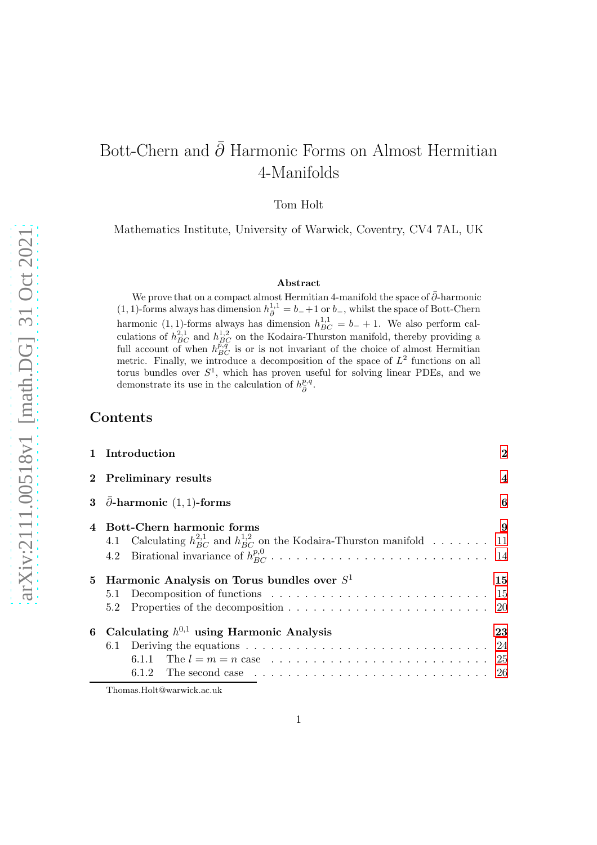# Bott-Chern and  $\bar{\partial}$  Harmonic Forms on Almost Hermitian 4-Manifolds

Tom Holt

Mathematics Institute, University of Warwick, Coventry, CV4 7AL, UK

### Abstract

We prove that on a compact almost Hermitian 4-manifold the space of  $\bar{\partial}$ -harmonic (1, 1)-forms always has dimension  $h_{\bar{\partial}}^{1,1} = b_{-}+1$  or  $b_{-}$ , whilst the space of Bott-Chern harmonic (1, 1)-forms always has dimension  $h_{BC}^{1,1} = b_- + 1$ . We also perform calculations of  $h_{BC}^{2,1}$  and  $h_{BC}^{1,2}$  on the Kodaira-Thurston manifold, thereby providing a full account of when  $h_{BC}^{\vec{p},\vec{q}}$  is or is not invariant of the choice of almost Hermitian metric. Finally, we introduce a decomposition of the space of  $L^2$  functions on all torus bundles over  $S^1$ , which has proven useful for solving linear PDEs, and we demonstrate its use in the calculation of  $h_{\bar{\partial}}^{p,q}$ .

### Contents

|    | 1 Introduction                                                                                          | $\bf{2}$       |
|----|---------------------------------------------------------------------------------------------------------|----------------|
|    | 2 Preliminary results                                                                                   | $\overline{4}$ |
| 3  | $\bar{\partial}$ -harmonic (1, 1)-forms                                                                 | 6              |
|    | Bott-Chern harmonic forms                                                                               | 9              |
|    | 4.1 Calculating $h_{BC}^{2,1}$ and $h_{BC}^{1,2}$ on the Kodaira-Thurston manifold  11                  |                |
|    |                                                                                                         |                |
| 5. | Harmonic Analysis on Torus bundles over $S^1$                                                           | 15             |
|    |                                                                                                         |                |
|    | 5.2                                                                                                     |                |
|    | 6 Calculating $h^{0,1}$ using Harmonic Analysis                                                         | 23             |
|    | 6.1 Deriving the equations $\ldots \ldots \ldots \ldots \ldots \ldots \ldots \ldots \ldots \ldots 24$   |                |
|    |                                                                                                         |                |
|    | 6.1.2 The second case $\ldots \ldots \ldots \ldots \ldots \ldots \ldots \ldots \ldots \ldots \ldots 26$ |                |
|    |                                                                                                         |                |

Thomas.Holt@warwick.ac.uk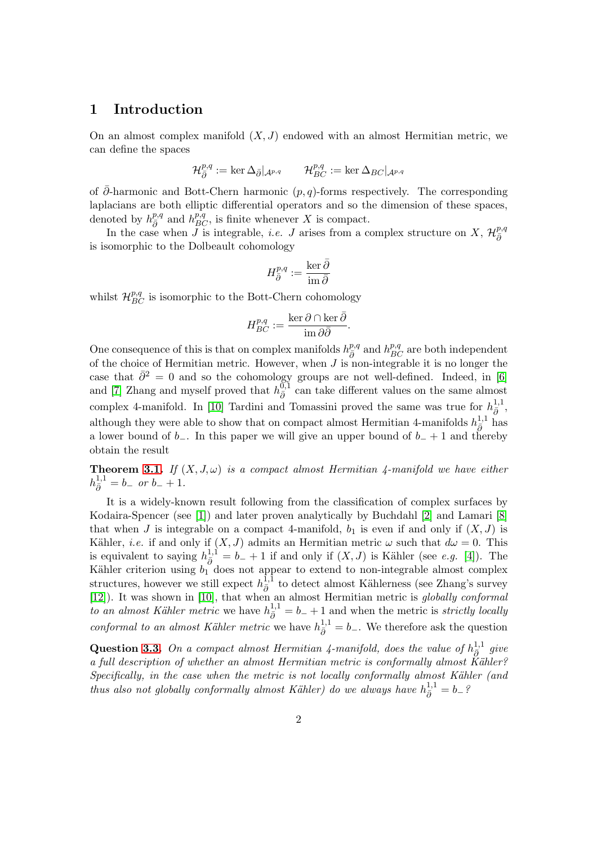### <span id="page-1-0"></span>1 Introduction

On an almost complex manifold  $(X, J)$  endowed with an almost Hermitian metric, we can define the spaces

$$
\mathcal{H}_{\bar{\partial}}^{p,q}:=\ker\Delta_{\bar{\partial}}|_{\mathcal{A}^{p,q}}\qquad\mathcal{H}_{BC}^{p,q}:=\ker\Delta_{BC}|_{\mathcal{A}^{p,q}}
$$

of ∂-harmonic and Bott-Chern harmonic  $(p, q)$ -forms respectively. The corresponding laplacians are both elliptic differential operators and so the dimension of these spaces, denoted by  $h_{\bar{\partial}}^{p,q}$  and  $h_{BC}^{p,q}$ , is finite whenever X is compact.

In the case when J is integrable, *i.e.* J arises from a complex structure on X,  $\mathcal{H}_{\bar{\partial}}^{p,q}$  $\bar{\partial}$ is isomorphic to the Dolbeault cohomology

$$
H^{p,q}_{\bar{\partial}}:=\frac{\ker\bar{\partial}}{\mathrm{im}\,\bar{\partial}}
$$

whilst  $\mathcal{H}_{BC}^{p,q}$  is isomorphic to the Bott-Chern cohomology

$$
H_{BC}^{p,q}:=\frac{\ker\partial\cap\ker\bar{\partial}}{\mathrm{im}\,\partial\bar{\partial}}.
$$

One consequence of this is that on complex manifolds  $h_{\bar{\partial}}^{p,q}$  and  $h_{BC}^{p,q}$  are both independent of the choice of Hermitian metric. However, when  $J$  is non-integrable it is no longer the case that  $\bar{\partial}^2 = 0$  and so the cohomology groups are not well-defined. Indeed, in [\[6\]](#page-26-0) and [\[7\]](#page-26-1) Zhang and myself proved that  $h_{\bar{a}}^{\overline{0,1}}$  $\overline{\partial}$  can take different values on the same almost complex 4-manifold. In [\[10\]](#page-26-2) Tardini and Tomassini proved the same was true for  $h_{\bar{\partial}}^{1,1}$ , although they were able to show that on compact almost Hermitian 4-manifolds  $h_{\bar{\partial}}^{1,1}$  has a lower bound of  $b_-\$ . In this paper we will give an upper bound of  $b_+ + 1$  and thereby obtain the result

**Theorem [3.1.](#page-5-1)** If  $(X, J, \omega)$  is a compact almost Hermitian 4-manifold we have either  $h_{\bar{\partial}}^{1,1} = b_{-}$  or  $b_{-} + 1$ .

It is a widely-known result following from the classification of complex surfaces by Kodaira-Spencer (see [\[1\]](#page-26-3)) and later proven analytically by Buchdahl [\[2\]](#page-26-4) and Lamari [\[8\]](#page-26-5) that when J is integrable on a compact 4-manifold,  $b_1$  is even if and only if  $(X, J)$  is Kähler, *i.e.* if and only if  $(X, J)$  admits an Hermitian metric  $\omega$  such that  $d\omega = 0$ . This is equivalent to saying  $h_{\bar{\partial}}^{1,1} = b_{-} + 1$  if and only if  $(X, J)$  is Kähler (see e.g. [\[4\]](#page-26-6)). The Kähler criterion using  $b_1$  does not appear to extend to non-integrable almost complex structures, however we still expect  $h_{\bar{\beta}}^{\bar{1},\bar{1}}$  $\frac{1}{\partial}$  to detect almost Kählerness (see Zhang's survey [\[12\]](#page-26-7)). It was shown in [\[10\]](#page-26-2), that when an almost Hermitian metric is globally conformal to an almost Kähler metric we have  $h_{\bar{\partial}}^{1,1} = b_- + 1$  and when the metric is strictly locally conformal to an almost Kähler metric we have  $h_{\overline{\partial}}^{1,1} = b_-\$ . We therefore ask the question

**Question [3.3.](#page-6-0)** On a compact almost Hermitian 4-manifold, does the value of  $h_{\bar{5}}^{1,1}$  $\frac{1}{\bar{\partial}}$  give a full description of whether an almost Hermitian metric is conformally almost Kähler?  $Specifically, in the case when the metric is not locally conformally almost Kähler (and)$ thus also not globally conformally almost Kähler) do we always have  $h_{\bar{\partial}}^{1,1} = b_{-}$ ?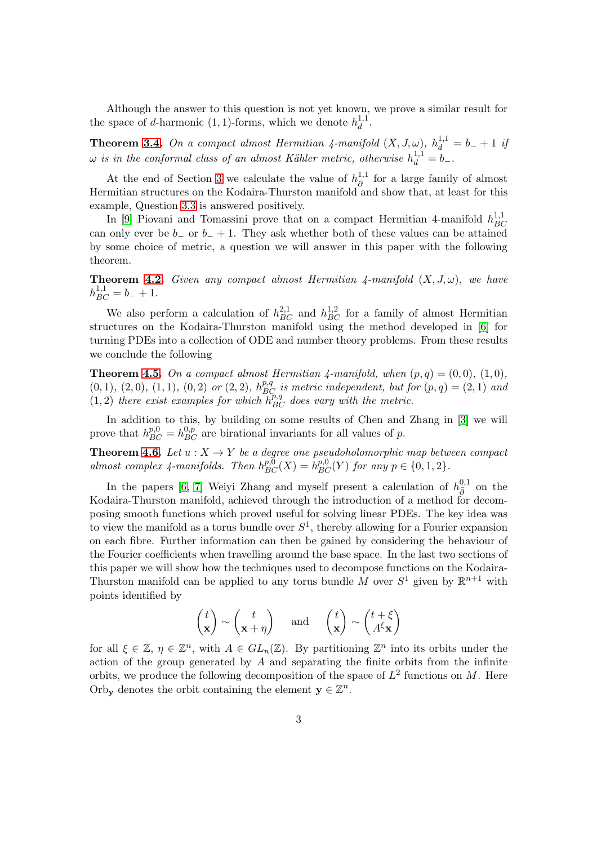Although the answer to this question is not yet known, we prove a similar result for the space of d-harmonic (1, 1)-forms, which we denote  $h_d^{1,1}$  $\frac{1}{d}$ .

**Theorem [3.4.](#page-6-1)** On a compact almost Hermitian 4-manifold  $(X, J, \omega)$ ,  $h_d^{1,1} = b_- + 1$  if  $\omega$  is in the conformal class of an almost Kähler metric, otherwise  $h_d^{1,1} = b_-$ .

At the end of Section [3](#page-5-0) we calculate the value of  $h_{\bar{p}}^{1,1}$  $\frac{1}{\partial}$  for a large family of almost Hermitian structures on the Kodaira-Thurston manifold and show that, at least for this example, Question [3.3](#page-6-0) is answered positively.

In [\[9\]](#page-26-8) Piovani and Tomassini prove that on a compact Hermitian 4-manifold  $h_{BC}^{1,1}$ BC can only ever be  $b_$  or  $b_+ + 1$ . They ask whether both of these values can be attained by some choice of metric, a question we will answer in this paper with the following theorem.

**Theorem [4.2.](#page-9-0)** Given any compact almost Hermitian  $\lambda$ -manifold  $(X, J, \omega)$ , we have  $h_{BC}^{1,1} = b_- + 1.$ 

We also perform a calculation of  $h_{BC}^{2,1}$  and  $h_{BC}^{1,2}$  for a family of almost Hermitian structures on the Kodaira-Thurston manifold using the method developed in [\[6\]](#page-26-0) for turning PDEs into a collection of ODE and number theory problems. From these results we conclude the following

**Theorem [4.5.](#page-12-0)** On a compact almost Hermitian 4-manifold, when  $(p,q) = (0,0)$ ,  $(1,0)$ ,  $(0,1)$ ,  $(2,0)$ ,  $(1,1)$ ,  $(0,2)$  or  $(2,2)$ ,  $h_{BC}^{p,q}$  is metric independent, but for  $(p,q) = (2,1)$  and  $(1, 2)$  there exist examples for which  $h_{BC}^{p,q}$  does vary with the metric.

In addition to this, by building on some results of Chen and Zhang in [\[3\]](#page-26-9) we will prove that  $h_{BC}^{p,0} = h_{BC}^{0,p}$  are birational invariants for all values of p.

**Theorem [4.6.](#page-13-1)** Let  $u : X \to Y$  be a degree one pseudoholomorphic map between compact almost complex 4-manifolds. Then  $h_{BC}^{p,0}(X) = h_{BC}^{p,0}(Y)$  for any  $p \in \{0, 1, 2\}$ .

In the papers [\[6,](#page-26-0) [7\]](#page-26-1) Weiyi Zhang and myself present a calculation of  $h_{\bar{\partial}}^{0,1}$  on the Kodaira-Thurston manifold, achieved through the introduction of a method for decomposing smooth functions which proved useful for solving linear PDEs. The key idea was to view the manifold as a torus bundle over  $S^1$ , thereby allowing for a Fourier expansion on each fibre. Further information can then be gained by considering the behaviour of the Fourier coefficients when travelling around the base space. In the last two sections of this paper we will show how the techniques used to decompose functions on the Kodaira-Thurston manifold can be applied to any torus bundle M over  $S^1$  given by  $\mathbb{R}^{n+1}$  with points identified by

$$
\begin{pmatrix} t \\ \mathbf{x} \end{pmatrix} \sim \begin{pmatrix} t \\ \mathbf{x} + \eta \end{pmatrix} \quad \text{and} \quad \begin{pmatrix} t \\ \mathbf{x} \end{pmatrix} \sim \begin{pmatrix} t + \xi \\ A^{\xi} \mathbf{x} \end{pmatrix}
$$

for all  $\xi \in \mathbb{Z}$ ,  $\eta \in \mathbb{Z}^n$ , with  $A \in GL_n(\mathbb{Z})$ . By partitioning  $\mathbb{Z}^n$  into its orbits under the action of the group generated by  $A$  and separating the finite orbits from the infinite orbits, we produce the following decomposition of the space of  $L^2$  functions on M. Here Orby denotes the orbit containing the element  $y \in \mathbb{Z}^n$ .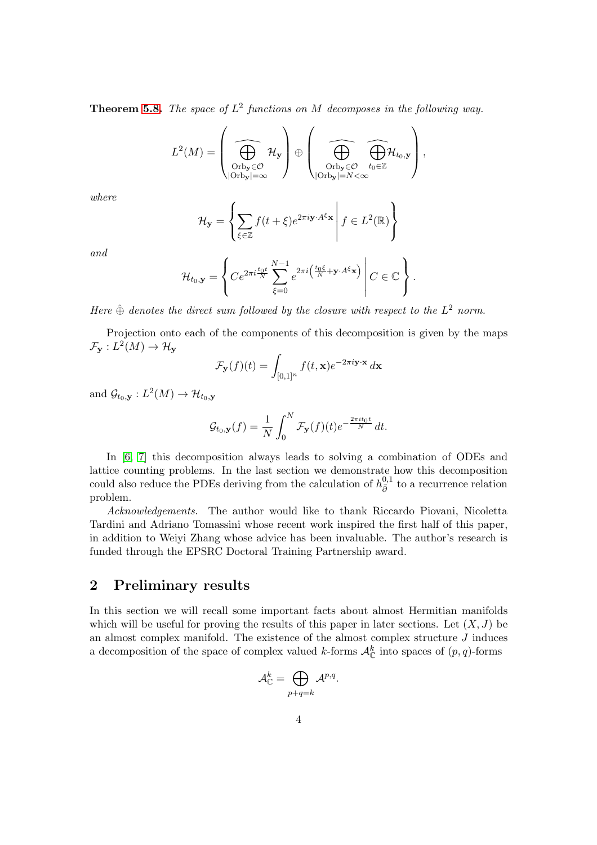**Theorem [5.8.](#page-17-0)** The space of  $L^2$  functions on M decomposes in the following way.

$$
L^2(M) = \left(\bigoplus_{\substack{\text{Orb}_{\mathbf{y}} \in \mathcal{O} \\ |\text{Orb}_{\mathbf{y}}| = \infty}} \mathcal{H}_{\mathbf{y}}\right) \oplus \left(\bigoplus_{\substack{\text{Orb}_{\mathbf{y}} \in \mathcal{O} \\ |\text{Orb}_{\mathbf{y}}| = N < \infty}} \widehat{\bigoplus_{t_0 \in \mathbb{Z}} \mathcal{H}_{t_0, \mathbf{y}}}\right),
$$

where

$$
\mathcal{H}_{\mathbf{y}} = \left\{ \sum_{\xi \in \mathbb{Z}} f(t + \xi) e^{2\pi i \mathbf{y} \cdot A^{\xi} \mathbf{x}} \middle| f \in L^{2}(\mathbb{R}) \right\}
$$

and

$$
\mathcal{H}_{t_0,\mathbf{y}} = \left\{ Ce^{2\pi i \frac{t_0 t}{N}} \sum_{\xi=0}^{N-1} e^{2\pi i \left( \frac{t_0 \xi}{N} + \mathbf{y} \cdot A^{\xi} \mathbf{x} \right)} \middle| C \in \mathbb{C} \right\}.
$$

Here  $\hat{\oplus}$  denotes the direct sum followed by the closure with respect to the  $L^2$  norm.

Projection onto each of the components of this decomposition is given by the maps  $\mathcal{F}_{\mathbf{y}}: L^2(M) \to \mathcal{H}_{\mathbf{y}}$ 

$$
\mathcal{F}_{\mathbf{y}}(f)(t) = \int_{[0,1]^n} f(t, \mathbf{x}) e^{-2\pi i \mathbf{y} \cdot \mathbf{x}} d\mathbf{x}
$$

and  $\mathcal{G}_{t_0, \mathbf{y}} : L^2(M) \to \mathcal{H}_{t_0, \mathbf{y}}$ 

$$
\mathcal{G}_{t_0,\mathbf{y}}(f) = \frac{1}{N} \int_0^N \mathcal{F}_{\mathbf{y}}(f)(t) e^{-\frac{2\pi i t_0 t}{N}} dt.
$$

In [\[6,](#page-26-0) [7\]](#page-26-1) this decomposition always leads to solving a combination of ODEs and lattice counting problems. In the last section we demonstrate how this decomposition could also reduce the PDEs deriving from the calculation of  $h_{\bar{p}}^{0,1}$  $\overline{\delta}$ <sup>0,1</sup> to a recurrence relation problem.

Acknowledgements. The author would like to thank Riccardo Piovani, Nicoletta Tardini and Adriano Tomassini whose recent work inspired the first half of this paper, in addition to Weiyi Zhang whose advice has been invaluable. The author's research is funded through the EPSRC Doctoral Training Partnership award.

### <span id="page-3-0"></span>2 Preliminary results

In this section we will recall some important facts about almost Hermitian manifolds which will be useful for proving the results of this paper in later sections. Let  $(X, J)$  be an almost complex manifold. The existence of the almost complex structure  $J$  induces a decomposition of the space of complex valued k-forms  $\mathcal{A}_{\mathbb{C}}^k$  into spaces of  $(p, q)$ -forms

$$
\mathcal{A}_{\mathbb{C}}^k=\bigoplus_{p+q=k}\mathcal{A}^{p,q}.
$$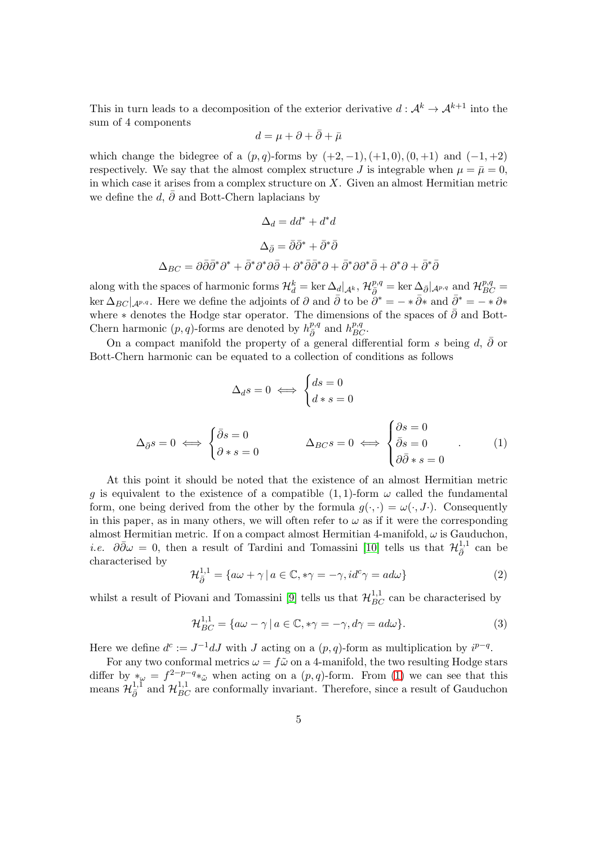This in turn leads to a decomposition of the exterior derivative  $d: \mathcal{A}^k \to \mathcal{A}^{k+1}$  into the sum of 4 components

$$
d = \mu + \partial + \bar{\partial} + \bar{\mu}
$$

which change the bidegree of a  $(p, q)$ -forms by  $(+2, -1), (+1, 0), (0, +1)$  and  $(-1, +2)$ respectively. We say that the almost complex structure J is integrable when  $\mu = \bar{\mu} = 0$ , in which case it arises from a complex structure on  $X$ . Given an almost Hermitian metric we define the d,  $\bar{\partial}$  and Bott-Chern laplacians by

$$
\Delta_d = dd^* + d^*d
$$

$$
\Delta_{\bar{\partial}} = \bar{\partial}\bar{\partial}^* + \bar{\partial}^*\bar{\partial}
$$

$$
\Delta_{BC} = \partial\bar{\partial}\bar{\partial}^*\partial^* + \bar{\partial}^*\partial^*\partial\bar{\partial} + \partial^*\bar{\partial}\bar{\partial}^*\partial + \bar{\partial}^*\partial\partial^*\bar{\partial} + \partial^*\partial + \bar{\partial}^*\bar{\partial}
$$

along with the spaces of harmonic forms  $\mathcal{H}_d^k = \ker \Delta_d |_{\mathcal{A}^k}$ ,  $\mathcal{H}_{\bar{\partial}}^{p,q} = \ker \Delta_{\bar{\partial}} |_{\mathcal{A}^{p,q}}$  and  $\mathcal{H}_{BC}^{p,q} =$  $\ker \Delta_{BC}|_{\mathcal{A}^{p,q}}$ . Here we define the adjoints of  $\partial$  and  $\bar{\partial}$  to be  $\partial^* = -\ast \bar{\partial} \ast$  and  $\bar{\partial}^* = -\ast \partial \ast$ where  $*$  denotes the Hodge star operator. The dimensions of the spaces of  $\bar{\partial}$  and Bott-Chern harmonic  $(p, q)$ -forms are denoted by  $h_{\bar{\partial}}^{p,q}$  and  $h_{BC}^{p,q}$ .

On a compact manifold the property of a general differential form s being  $d, \bar{\partial}$  or Bott-Chern harmonic can be equated to a collection of conditions as follows

$$
\Delta_{d}s = 0 \iff \begin{cases} ds = 0 \\ d*s = 0 \end{cases}
$$

$$
\Delta_{\bar{\partial}}s = 0 \iff \begin{cases} \bar{\partial}s = 0 \\ \bar{\partial} \cdot s = 0 \end{cases} \qquad \Delta_{BC}s = 0 \iff \begin{cases} \partial s = 0 \\ \bar{\partial}s = 0 \\ \partial \bar{\partial} \cdot s = 0 \end{cases} \tag{1}
$$

<span id="page-4-0"></span>At this point it should be noted that the existence of an almost Hermitian metric q is equivalent to the existence of a compatible  $(1,1)$ -form  $\omega$  called the fundamental form, one being derived from the other by the formula  $q(\cdot, \cdot) = \omega(\cdot, J)$ . Consequently in this paper, as in many others, we will often refer to  $\omega$  as if it were the corresponding almost Hermitian metric. If on a compact almost Hermitian 4-manifold,  $\omega$  is Gauduchon, *i.e.*  $\partial \bar{\partial} \omega = 0$ , then a result of Tardini and Tomassini [\[10\]](#page-26-2) tells us that  $\mathcal{H}_{\bar{\partial}}^{1,1}$  $\frac{1}{\overline{\partial}}$  can be characterised by

<span id="page-4-1"></span>
$$
\mathcal{H}_{\bar{\partial}}^{1,1} = \{ a\omega + \gamma \mid a \in \mathbb{C}, * \gamma = -\gamma, id^{c} \gamma = ad\omega \}
$$
 (2)

whilst a result of Piovani and Tomassini [\[9\]](#page-26-8) tells us that  $\mathcal{H}_{BC}^{1,1}$  can be characterised by

<span id="page-4-2"></span>
$$
\mathcal{H}_{BC}^{1,1} = \{ a\omega - \gamma \, | \, a \in \mathbb{C}, *\gamma = -\gamma, d\gamma = ad\omega \}. \tag{3}
$$

Here we define  $d^c := J^{-1}dJ$  with J acting on a  $(p, q)$ -form as multiplication by  $i^{p-q}$ .

For any two conformal metrics  $\omega = f\tilde{\omega}$  on a 4-manifold, the two resulting Hodge stars differ by  $*_{\omega} = f^{2-p-q} *_{\tilde{\omega}}$  when acting on a  $(p,q)$ -form. From [\(1\)](#page-4-0) we can see that this means  $\mathcal{H}_{\bar{\partial}}^{1,1}$  and  $\mathcal{H}_{BC}^{1,1}$  are conformally invariant. Therefore, since a result of Gauduchon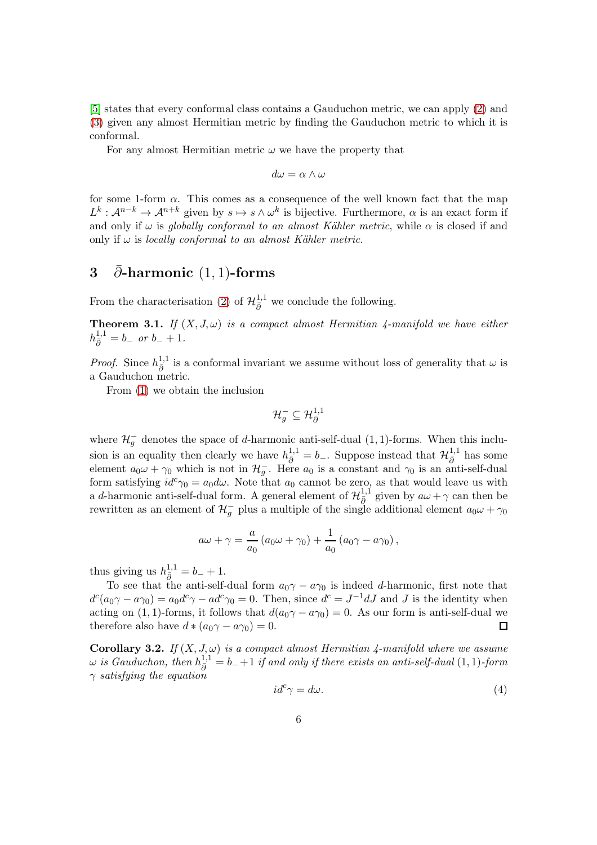[\[5\]](#page-26-10) states that every conformal class contains a Gauduchon metric, we can apply [\(2\)](#page-4-1) and [\(3\)](#page-4-2) given any almost Hermitian metric by finding the Gauduchon metric to which it is conformal.

For any almost Hermitian metric  $\omega$  we have the property that

$$
d\omega = \alpha \wedge \omega
$$

for some 1-form  $\alpha$ . This comes as a consequence of the well known fact that the map  $L^k: \mathcal{A}^{n-k} \to \mathcal{A}^{n+k}$  given by  $s \mapsto s \wedge \omega^k$  is bijective. Furthermore,  $\alpha$  is an exact form if and only if  $\omega$  is globally conformal to an almost Kähler metric, while  $\alpha$  is closed if and only if  $\omega$  is locally conformal to an almost Kähler metric.

### <span id="page-5-0"></span>3 ∂-harmonic  $(1, 1)$ -forms

From the characterisation [\(2\)](#page-4-1) of  $\mathcal{H}_{\bar{\partial}}^{1,1}$  we conclude the following.

<span id="page-5-1"></span>**Theorem 3.1.** If  $(X, J, \omega)$  is a compact almost Hermitian 4-manifold we have either  $h_{\bar{\partial}}^{1,1} = b_{-}$  or  $b_{-} + 1$ .

*Proof.* Since  $h_{\bar{a}}^{1,1}$  $\frac{1}{\partial}$  is a conformal invariant we assume without loss of generality that  $\omega$  is a Gauduchon metric.

From [\(1\)](#page-4-0) we obtain the inclusion

$$
\mathcal{H}_g^-\subseteq \mathcal{H}_{\bar{\partial}}^{1,1}
$$

where  $\mathcal{H}_g^-$  denotes the space of d-harmonic anti-self-dual (1, 1)-forms. When this inclusion is an equality then clearly we have  $h_{\bar{\partial}}^{1,1} = b_-\$ . Suppose instead that  $\mathcal{H}_{\bar{\partial}}^{1,1}$  has some element  $a_0\omega + \gamma_0$  which is not in  $\mathcal{H}^-_g$ . Here  $a_0$  is a constant and  $\gamma_0$  is an anti-self-dual form satisfying  $id^c \gamma_0 = a_0 d\omega$ . Note that  $a_0$  cannot be zero, as that would leave us with a d-harmonic anti-self-dual form. A general element of  $\mathcal{H}_{\bar{\partial}}^{1,1}$  given by  $a\omega + \gamma$  can then be rewritten as an element of  $\mathcal{H}^-_g$  plus a multiple of the single additional element  $a_0\omega + \gamma_0$ 

$$
a\omega + \gamma = \frac{a}{a_0} (a_0\omega + \gamma_0) + \frac{1}{a_0} (a_0\gamma - a\gamma_0),
$$

thus giving us  $h_{\bar{\partial}}^{1,1} = b_- + 1$ .

To see that the anti-self-dual form  $a_0\gamma - a\gamma_0$  is indeed d-harmonic, first note that  $d^c(a_0\gamma - a\gamma_0) = a_0d^c\gamma - ad^c\gamma_0 = 0.$  Then, since  $d^c = J^{-1}dJ$  and J is the identity when acting on (1, 1)-forms, it follows that  $d(a_0\gamma - a\gamma_0) = 0$ . As our form is anti-self-dual we therefore also have  $d * (a_0\gamma - a\gamma_0) = 0$ . therefore also have  $d * (a_0 \gamma - a \gamma_0) = 0$ .

Corollary 3.2. If  $(X, J, \omega)$  is a compact almost Hermitian 4-manifold where we assume  $\omega$  is Gauduchon, then  $h^{1,1}_{\bar{\partial}} = b_- + 1$  if and only if there exists an anti-self-dual  $(1,1)$ -form  $\gamma$  satisfying the equation

<span id="page-5-2"></span>
$$
id^c \gamma = d\omega. \tag{4}
$$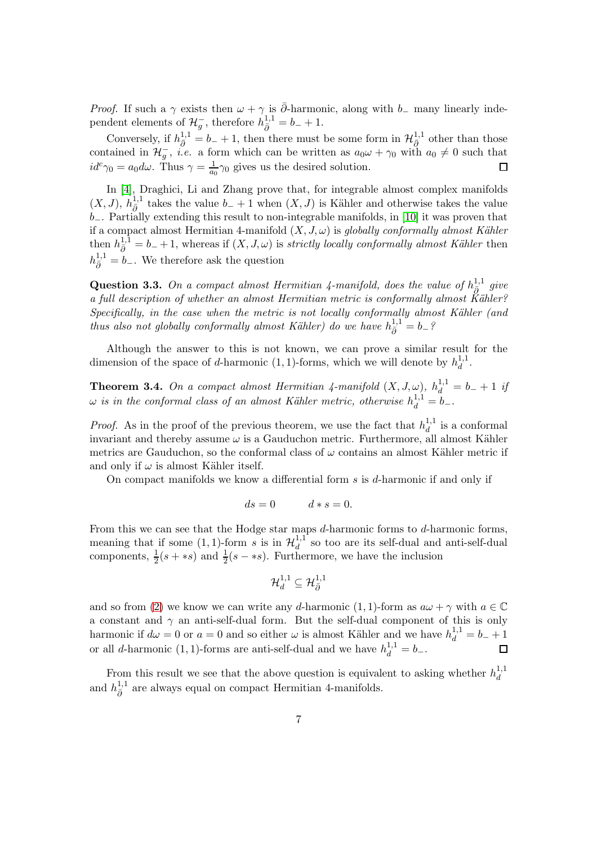*Proof.* If such a  $\gamma$  exists then  $\omega + \gamma$  is  $\overline{\partial}$ -harmonic, along with  $b_{-}$  many linearly independent elements of  $\mathcal{H}_g^-$ , therefore  $h_{\bar{\partial}}^{1,1} = b_- + 1$ .

Conversely, if  $h_{\bar{\partial}}^{1,1} = b_- + 1$ , then there must be some form in  $\mathcal{H}_{\bar{\partial}}^{1,1}$  other than those contained in  $\mathcal{H}_{g}^{-}$ , *i.e.* a form which can be written as  $a_0\omega + \gamma_0$  with  $a_0 \neq 0$  such that  $id^c \gamma_0 = a_0 d\omega$ . Thus  $\gamma = \frac{1}{a_0} \gamma_0$  gives us the desired solution.  $\Box$ 

In [\[4\]](#page-26-6), Draghici, Li and Zhang prove that, for integrable almost complex manifolds  $(X, J)$ ,  $h_{\bar{\partial}}^{1,1}$  takes the value  $b_- + 1$  when  $(X, J)$  is Kähler and otherwise takes the value b−. Partially extending this result to non-integrable manifolds, in [\[10\]](#page-26-2) it was proven that if a compact almost Hermitian 4-manifold  $(X, J, \omega)$  is globally conformally almost Kähler then  $h_{\bar{\partial}}^{1,1} = b_- + 1$ , whereas if  $(X, J, \omega)$  is *strictly locally conformally almost Kähler* then  $h_{\bar{\partial}}^{1,1} = b_-.$  We therefore ask the question

<span id="page-6-0"></span>Question 3.3. On a compact almost Hermitian 4-manifold, does the value of  $h^{1,1}_{\bar{\partial}}$  give a full description of whether an almost Hermitian metric is conformally almost  $\breve{\rm K}$ ähler?  $Specifically, in the case when the metric is not locally conformally almost Kähler (and)$ thus also not globally conformally almost Kähler) do we have  $h_{\bar{\partial}}^{1,1} = b_{-}$ ?

Although the answer to this is not known, we can prove a similar result for the dimension of the space of d-harmonic  $(1, 1)$ -forms, which we will denote by  $h_d^{1,1}$  $\frac{1}{d}$ .

<span id="page-6-1"></span>**Theorem 3.4.** On a compact almost Hermitian 4-manifold  $(X, J, \omega)$ ,  $h_d^{1,1} = b_- + 1$  if  $\omega$  is in the conformal class of an almost Kähler metric, otherwise  $h_d^{1,1} = b_-$ .

*Proof.* As in the proof of the previous theorem, we use the fact that  $h_d^{1,1}$  $\frac{1}{d}$  is a conformal invariant and thereby assume  $\omega$  is a Gauduchon metric. Furthermore, all almost Kähler metrics are Gauduchon, so the conformal class of  $\omega$  contains an almost Kähler metric if and only if  $\omega$  is almost Kähler itself.

On compact manifolds we know a differential form  $s$  is  $d$ -harmonic if and only if

$$
ds = 0 \qquad \qquad d * s = 0.
$$

From this we can see that the Hodge star maps d-harmonic forms to d-harmonic forms, meaning that if some  $(1, 1)$ -form s is in  $\mathcal{H}_d^{1,1}$  $\frac{1}{d}$  so too are its self-dual and anti-self-dual components,  $\frac{1}{2}(s + \ast s)$  and  $\frac{1}{2}(s - \ast s)$ . Furthermore, we have the inclusion

$$
\mathcal{H}^{1,1}_d\subseteq \mathcal{H}^{1,1}_{\bar\partial}
$$

and so from [\(2\)](#page-4-1) we know we can write any d-harmonic (1, 1)-form as  $a\omega + \gamma$  with  $a \in \mathbb{C}$ a constant and  $\gamma$  an anti-self-dual form. But the self-dual component of this is only harmonic if  $d\omega = 0$  or  $a = 0$  and so either  $\omega$  is almost Kähler and we have  $h_d^{1,1} = b_- + 1$ or all d-harmonic (1, 1)-forms are anti-self-dual and we have  $h_d^{1,1} = b_-.$  $\Box$ 

From this result we see that the above question is equivalent to asking whether  $h_d^{1,1}$ d and  $h_{\bar{\partial}}^{1,1}$  are always equal on compact Hermitian 4-manifolds.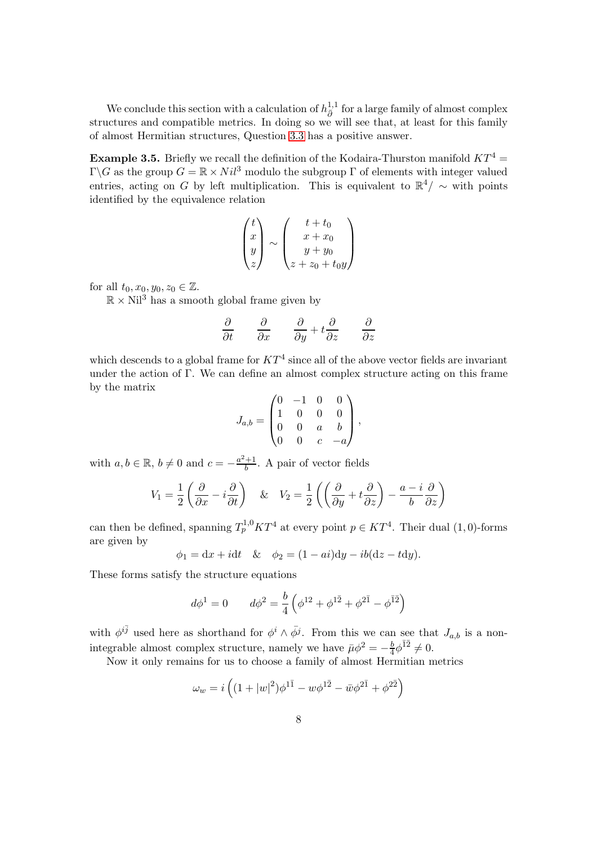We conclude this section with a calculation of  $h_{\bar{p}}^{1,1}$  $\frac{1}{\delta}$ <sup>1,1</sup> for a large family of almost complex structures and compatible metrics. In doing so we will see that, at least for this family of almost Hermitian structures, Question [3.3](#page-6-0) has a positive answer.

<span id="page-7-0"></span>**Example 3.5.** Briefly we recall the definition of the Kodaira-Thurston manifold  $KT^4$ Γ $\Gamma$ G as the group  $G = \mathbb{R} \times Nil^3$  modulo the subgroup Γ of elements with integer valued entries, acting on G by left multiplication. This is equivalent to  $\mathbb{R}^4/\sim$  with points identified by the equivalence relation

$$
\begin{pmatrix} t \\ x \\ y \\ z \end{pmatrix} \sim \begin{pmatrix} t+t_0 \\ x+x_0 \\ y+y_0 \\ z+z_0+t_0y \end{pmatrix}
$$

for all  $t_0, x_0, y_0, z_0 \in \mathbb{Z}$ .

 $\mathbb{R} \times$  Nil<sup>3</sup> has a smooth global frame given by

$$
\frac{\partial}{\partial t} \qquad \frac{\partial}{\partial x} \qquad \frac{\partial}{\partial y} + t \frac{\partial}{\partial z} \qquad \frac{\partial}{\partial z}
$$

which descends to a global frame for  $KT^4$  since all of the above vector fields are invariant under the action of Γ. We can define an almost complex structure acting on this frame by the matrix

$$
J_{a,b} = \begin{pmatrix} 0 & -1 & 0 & 0 \\ 1 & 0 & 0 & 0 \\ 0 & 0 & a & b \\ 0 & 0 & c & -a \end{pmatrix},
$$

with  $a, b \in \mathbb{R}$ ,  $b \neq 0$  and  $c = -\frac{a^2+1}{b}$ . A pair of vector fields

$$
V_1 = \frac{1}{2} \left( \frac{\partial}{\partial x} - i \frac{\partial}{\partial t} \right) \quad \& \quad V_2 = \frac{1}{2} \left( \left( \frac{\partial}{\partial y} + t \frac{\partial}{\partial z} \right) - \frac{a - i}{b} \frac{\partial}{\partial z} \right)
$$

can then be defined, spanning  $T_p^{1,0}KT^4$  at every point  $p \in KT^4$ . Their dual (1,0)-forms are given by

$$
\phi_1 = dx + idt \quad & \phi_2 = (1 - ai)dy - ib(dz - tdy).
$$

These forms satisfy the structure equations

$$
d\phi^{1} = 0 \qquad d\phi^{2} = \frac{b}{4} \left( \phi^{12} + \phi^{1\bar{2}} + \phi^{2\bar{1}} - \phi^{\bar{1}\bar{2}} \right)
$$

with  $\phi^{i\bar{j}}$  used here as shorthand for  $\phi^i \wedge \bar{\phi}^j$ . From this we can see that  $J_{a,b}$  is a nonintegrable almost complex structure, namely we have  $\bar{\mu}\phi^2 = -\frac{b}{4}$  $\frac{b}{4}\phi^{\bar{1}\bar{2}}\neq 0.$ 

Now it only remains for us to choose a family of almost Hermitian metrics

$$
\omega_w = i \left( (1 + |w|^2) \phi^{1\bar{1}} - w \phi^{1\bar{2}} - \bar{w} \phi^{2\bar{1}} + \phi^{2\bar{2}} \right)
$$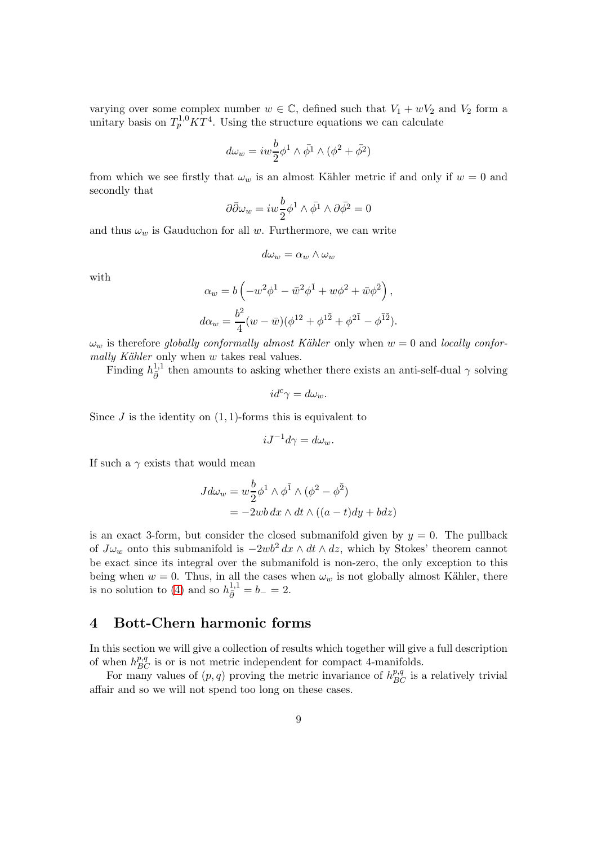varying over some complex number  $w \in \mathbb{C}$ , defined such that  $V_1 + wV_2$  and  $V_2$  form a unitary basis on  $T_p^{1,0} K T^4$ . Using the structure equations we can calculate

$$
d\omega_w = iw \frac{b}{2} \phi^1 \wedge \bar{\phi}^1 \wedge (\phi^2 + \bar{\phi}^2)
$$

from which we see firstly that  $\omega_w$  is an almost Kähler metric if and only if  $w = 0$  and secondly that

$$
\partial \bar{\partial} \omega_w = iw \frac{b}{2} \phi^1 \wedge \bar{\phi}^1 \wedge \partial \bar{\phi}^2 = 0
$$

and thus  $\omega_w$  is Gauduchon for all w. Furthermore, we can write

$$
d\omega_w = \alpha_w \wedge \omega_w
$$

with

$$
\alpha_w = b \left( -w^2 \phi^1 - \bar{w}^2 \phi^{\bar{1}} + w \phi^2 + \bar{w} \phi^{\bar{2}} \right),
$$
  

$$
d\alpha_w = \frac{b^2}{4} (w - \bar{w}) (\phi^{12} + \phi^{1\bar{2}} + \phi^{2\bar{1}} - \phi^{\bar{1}\bar{2}}).
$$

 $\omega_w$  is therefore globally conformally almost Kähler only when  $w = 0$  and locally conformally Kähler only when  $w$  takes real values.

Finding  $h_{\bar{\partial}}^{1,1}$  then amounts to asking whether there exists an anti-self-dual  $\gamma$  solving

$$
id^c\gamma=d\omega_w.
$$

Since  $J$  is the identity on  $(1, 1)$ -forms this is equivalent to

$$
iJ^{-1}d\gamma = d\omega_w.
$$

If such a  $\gamma$  exists that would mean

$$
Jd\omega_w = w \frac{b}{2} \phi^1 \wedge \phi^{\bar{1}} \wedge (\phi^2 - \phi^{\bar{2}})
$$
  
= -2wb dx  $\wedge dt \wedge ((a - t)dy + bdz)$ 

is an exact 3-form, but consider the closed submanifold given by  $y = 0$ . The pullback of  $J\omega_w$  onto this submanifold is  $-2wb^2 dx \wedge dt \wedge dz$ , which by Stokes' theorem cannot be exact since its integral over the submanifold is non-zero, the only exception to this being when  $w = 0$ . Thus, in all the cases when  $\omega_w$  is not globally almost Kähler, there is no solution to [\(4\)](#page-5-2) and so  $h_{\bar{\partial}}^{1,1} = b_- = 2$ .

### <span id="page-8-0"></span>4 Bott-Chern harmonic forms

In this section we will give a collection of results which together will give a full description of when  $h_{BC}^{p,q}$  is or is not metric independent for compact 4-manifolds.

For many values of  $(p, q)$  proving the metric invariance of  $h_{BC}^{p,q}$  is a relatively trivial affair and so we will not spend too long on these cases.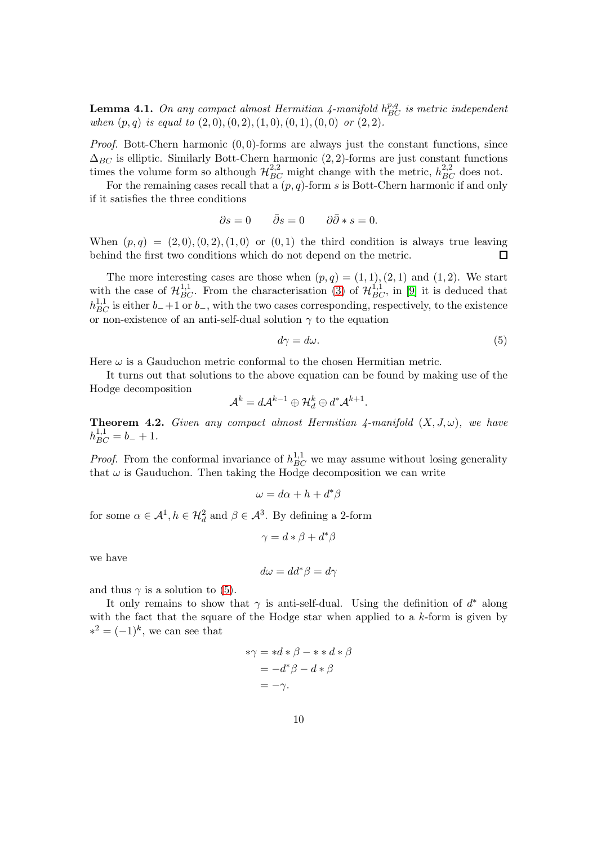**Lemma 4.1.** On any compact almost Hermitian 4-manifold  $h_{BC}^{p,q}$  is metric independent when  $(p, q)$  is equal to  $(2, 0), (0, 2), (1, 0), (0, 1), (0, 0)$  or  $(2, 2)$ .

*Proof.* Bott-Chern harmonic  $(0, 0)$ -forms are always just the constant functions, since  $\Delta_{BC}$  is elliptic. Similarly Bott-Chern harmonic  $(2, 2)$ -forms are just constant functions times the volume form so although  $\mathcal{H}_{BC}^{2,2}$  might change with the metric,  $h_{BC}^{2,2}$  does not.

For the remaining cases recall that a  $(p, q)$ -form s is Bott-Chern harmonic if and only if it satisfies the three conditions

$$
\partial s = 0 \qquad \bar{\partial} s = 0 \qquad \partial \bar{\partial} * s = 0.
$$

When  $(p, q) = (2, 0), (0, 2), (1, 0)$  or  $(0, 1)$  the third condition is always true leaving behind the first two conditions which do not depend on the metric.  $\Box$ 

The more interesting cases are those when  $(p, q) = (1, 1), (2, 1)$  and  $(1, 2)$ . We start with the case of  $\mathcal{H}_{BC}^{1,1}$ . From the characterisation [\(3\)](#page-4-2) of  $\mathcal{H}_{BC}^{1,1}$ , in [\[9\]](#page-26-8) it is deduced that  $h_{BC}^{1,1}$  is either  $b_{-}+1$  or  $b_{-}$ , with the two cases corresponding, respectively, to the existence or non-existence of an anti-self-dual solution  $\gamma$  to the equation

<span id="page-9-1"></span>
$$
d\gamma = d\omega. \tag{5}
$$

.

Here  $\omega$  is a Gauduchon metric conformal to the chosen Hermitian metric.

It turns out that solutions to the above equation can be found by making use of the Hodge decomposition

$$
\mathcal{A}^k = d\mathcal{A}^{k-1} \oplus \mathcal{H}_d^k \oplus d^* \mathcal{A}^{k+1}
$$

<span id="page-9-0"></span>**Theorem 4.2.** Given any compact almost Hermitian  $\lambda$ -manifold  $(X, J, \omega)$ , we have  $h_{BC}^{1,1} = b_- + 1.$ 

*Proof.* From the conformal invariance of  $h_{BC}^{1,1}$  we may assume without losing generality that  $\omega$  is Gauduchon. Then taking the Hodge decomposition we can write

$$
\omega = d\alpha + h + d^*\beta
$$

for some  $\alpha \in \mathcal{A}^1, h \in \mathcal{H}_d^2$  and  $\beta \in \mathcal{A}^3$ . By defining a 2-form

$$
\gamma = d * \beta + d^* \beta
$$

we have

$$
d\omega = dd^*\beta = d\gamma
$$

and thus  $\gamma$  is a solution to [\(5\)](#page-9-1).

It only remains to show that  $\gamma$  is anti-self-dual. Using the definition of  $d^*$  along with the fact that the square of the Hodge star when applied to a  $k$ -form is given by  $*^2 = (-1)^k$ , we can see that

$$
\begin{aligned} * \gamma &= *d * \beta - * * d * \beta \\ &= -d^* \beta - d * \beta \\ &= -\gamma. \end{aligned}
$$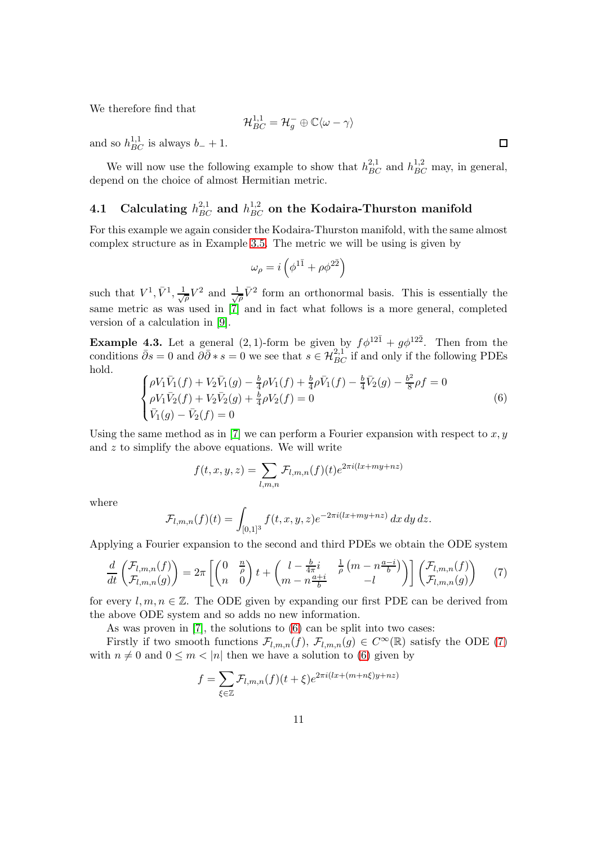We therefore find that

$$
\mathcal{H}_{BC}^{1,1}=\mathcal{H}_g^-\oplus \mathbb{C}\langle \omega-\gamma\rangle
$$

and so  $h_{BC}^{1,1}$  is always  $b_- + 1$ .

We will now use the following example to show that  $h_{BC}^{2,1}$  and  $h_{BC}^{1,2}$  may, in general, depend on the choice of almost Hermitian metric.

# <span id="page-10-0"></span>4.1 Calculating  $h_{BC}^{2,1}$  and  $h_{BC}^{1,2}$  on the Kodaira-Thurston manifold

For this example we again consider the Kodaira-Thurston manifold, with the same almost complex structure as in Example [3.5.](#page-7-0) The metric we will be using is given by

$$
\omega_{\rho} = i \left( \phi^{1\bar{1}} + \rho \phi^{2\bar{2}} \right)
$$

such that  $V^1$ ,  $\bar{V}^1$ ,  $\frac{1}{\sqrt{\rho}}V^2$  and  $\frac{1}{\sqrt{\rho}}\bar{V}^2$  form an orthonormal basis. This is essentially the same metric as was used in [\[7\]](#page-26-1) and in fact what follows is a more general, completed version of a calculation in [\[9\]](#page-26-8).

**Example 4.3.** Let a general  $(2, 1)$ -form be given by  $f\phi^{12\bar{1}} + g\phi^{12\bar{2}}$ . Then from the conditions  $\bar{\partial}s = 0$  and  $\partial\bar{\partial} * s = 0$  we see that  $s \in \mathcal{H}_{BC}^{2,1}$  if and only if the following PDEs hold.

<span id="page-10-1"></span>
$$
\begin{cases}\n\rho V_1 \bar{V}_1(f) + V_2 \bar{V}_1(g) - \frac{b}{4} \rho V_1(f) + \frac{b}{4} \rho \bar{V}_1(f) - \frac{b}{4} \bar{V}_2(g) - \frac{b^2}{8} \rho f = 0 \\
\rho V_1 \bar{V}_2(f) + V_2 \bar{V}_2(g) + \frac{b}{4} \rho V_2(f) = 0 \\
\bar{V}_1(g) - \bar{V}_2(f) = 0\n\end{cases}
$$
\n(6)

Using the same method as in [\[7\]](#page-26-1) we can perform a Fourier expansion with respect to  $x, y$ and  $z$  to simplify the above equations. We will write

$$
f(t, x, y, z) = \sum_{l, m, n} \mathcal{F}_{l, m, n}(f)(t) e^{2\pi i (lx + my + nz)}
$$

where

$$
\mathcal{F}_{l,m,n}(f)(t) = \int_{[0,1]^3} f(t,x,y,z)e^{-2\pi i(lx+my+nz)} dx dy dz.
$$

Applying a Fourier expansion to the second and third PDEs we obtain the ODE system

<span id="page-10-2"></span>
$$
\frac{d}{dt}\begin{pmatrix} \mathcal{F}_{l,m,n}(f) \\ \mathcal{F}_{l,m,n}(g) \end{pmatrix} = 2\pi \begin{bmatrix} \begin{pmatrix} 0 & \frac{n}{\rho} \\ n & 0 \end{pmatrix} t + \begin{pmatrix} l - \frac{b}{4\pi}i & \frac{1}{\rho} \left( m - n\frac{a-i}{b} \right) \\ m - n\frac{a+i}{b} & -l \end{pmatrix} \begin{bmatrix} \mathcal{F}_{l,m,n}(f) \\ \mathcal{F}_{l,m,n}(g) \end{bmatrix} \tag{7}
$$

for every  $l, m, n \in \mathbb{Z}$ . The ODE given by expanding our first PDE can be derived from the above ODE system and so adds no new information.

As was proven in [\[7\]](#page-26-1), the solutions to [\(6\)](#page-10-1) can be split into two cases:

Firstly if two smooth functions  $\mathcal{F}_{l,m,n}(f)$ ,  $\mathcal{F}_{l,m,n}(g) \in C^{\infty}(\mathbb{R})$  satisfy the ODE [\(7\)](#page-10-2) with  $n \neq 0$  and  $0 \leq m < |n|$  then we have a solution to [\(6\)](#page-10-1) given by

$$
f = \sum_{\xi \in \mathbb{Z}} \mathcal{F}_{l,m,n}(f)(t+\xi) e^{2\pi i (lx + (m+n\xi)y + nz)}
$$

 $\Box$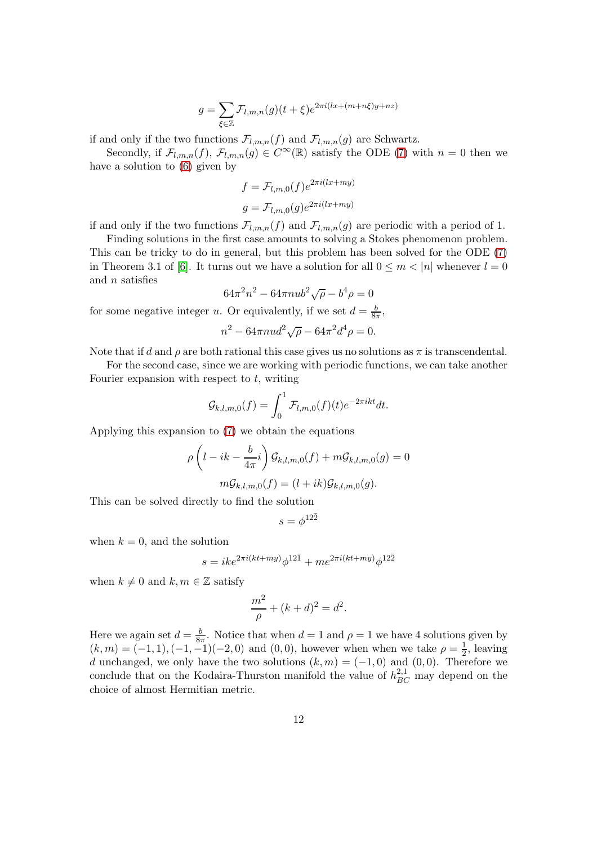$$
g = \sum_{\xi \in \mathbb{Z}} \mathcal{F}_{l,m,n}(g)(t+\xi)e^{2\pi i(lx + (m+n\xi)y + nz)}
$$

if and only if the two functions  $\mathcal{F}_{l,m,n}(f)$  and  $\mathcal{F}_{l,m,n}(g)$  are Schwartz.

Secondly, if  $\mathcal{F}_{l,m,n}(f)$ ,  $\mathcal{F}_{l,m,n}(g) \in C^{\infty}(\mathbb{R})$  satisfy the ODE [\(7\)](#page-10-2) with  $n = 0$  then we have a solution to [\(6\)](#page-10-1) given by

$$
f = \mathcal{F}_{l,m,0}(f)e^{2\pi i(lx+my)}
$$

$$
g = \mathcal{F}_{l,m,0}(g)e^{2\pi i(lx+my)}
$$

if and only if the two functions  $\mathcal{F}_{l,m,n}(f)$  and  $\mathcal{F}_{l,m,n}(g)$  are periodic with a period of 1.

Finding solutions in the first case amounts to solving a Stokes phenomenon problem. This can be tricky to do in general, but this problem has been solved for the ODE [\(7\)](#page-10-2) in Theorem 3.1 of [\[6\]](#page-26-0). It turns out we have a solution for all  $0 \leq m < |n|$  whenever  $l = 0$ and n satisfies

$$
64\pi^2 n^2 - 64\pi n u b^2 \sqrt{\rho} - b^4 \rho = 0
$$

for some negative integer u. Or equivalently, if we set  $d = \frac{b}{8\pi}$ ,

$$
n^2 - 64\pi n u d^2 \sqrt{\rho} - 64\pi^2 d^4 \rho = 0.
$$

Note that if d and  $\rho$  are both rational this case gives us no solutions as  $\pi$  is transcendental.

For the second case, since we are working with periodic functions, we can take another Fourier expansion with respect to  $t$ , writing

$$
\mathcal{G}_{k,l,m,0}(f) = \int_0^1 \mathcal{F}_{l,m,0}(f)(t)e^{-2\pi ikt}dt.
$$

Applying this expansion to [\(7\)](#page-10-2) we obtain the equations

$$
\rho \left( l - ik - \frac{b}{4\pi}i \right) \mathcal{G}_{k,l,m,0}(f) + m\mathcal{G}_{k,l,m,0}(g) = 0
$$
  

$$
m\mathcal{G}_{k,l,m,0}(f) = (l + ik)\mathcal{G}_{k,l,m,0}(g).
$$

This can be solved directly to find the solution

$$
s=\phi^{12\bar 2}
$$

when  $k = 0$ , and the solution

$$
s = ike^{2\pi i (kt+my)}\phi^{12\bar{1}} + me^{2\pi i (kt+my)}\phi^{12\bar{2}}
$$

when  $k \neq 0$  and  $k, m \in \mathbb{Z}$  satisfy

$$
\frac{m^2}{\rho} + (k + d)^2 = d^2.
$$

Here we again set  $d = \frac{b}{8a}$  $\frac{b}{8\pi}$ . Notice that when  $d=1$  and  $\rho=1$  we have 4 solutions given by  $(k, m) = (-1, 1), (-1, -1)(-2, 0)$  and  $(0, 0)$ , however when when we take  $\rho = \frac{1}{2}$  $\frac{1}{2}$ , leaving d unchanged, we only have the two solutions  $(k, m) = (-1, 0)$  and  $(0, 0)$ . Therefore we conclude that on the Kodaira-Thurston manifold the value of  $h_{BC}^{2,1}$  may depend on the choice of almost Hermitian metric.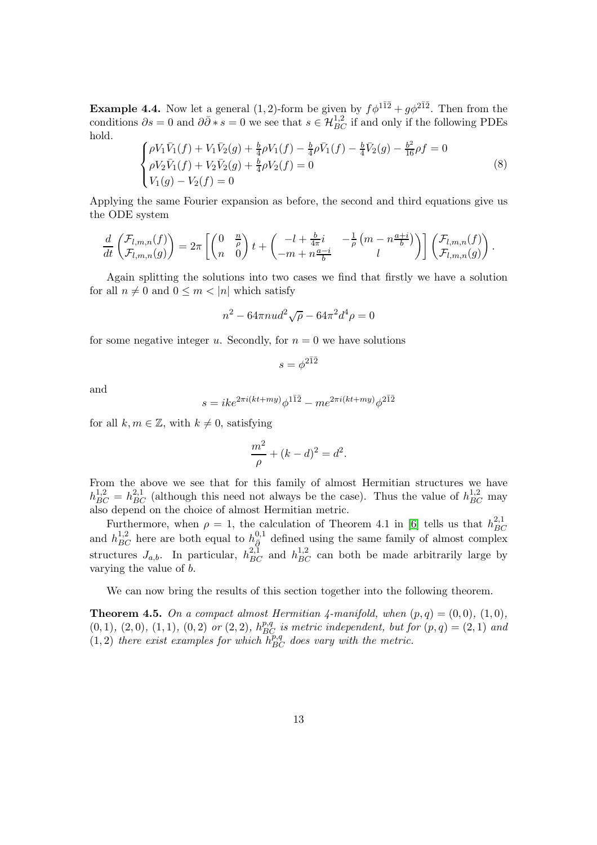**Example 4.4.** Now let a general  $(1, 2)$ -form be given by  $f\phi^{1\bar{1}\bar{2}} + g\phi^{2\bar{1}\bar{2}}$ . Then from the conditions  $\partial s = 0$  and  $\partial \bar{\partial} * s = 0$  we see that  $s \in \mathcal{H}_{BC}^{1,2}$  if and only if the following PDEs hold.

$$
\begin{cases}\n\rho V_1 \bar{V}_1(f) + V_1 \bar{V}_2(g) + \frac{b}{4} \rho V_1(f) - \frac{b}{4} \bar{\rho} \bar{V}_1(f) - \frac{b}{4} \bar{V}_2(g) - \frac{b^2}{16} \rho f = 0 \\
\rho V_2 \bar{V}_1(f) + V_2 \bar{V}_2(g) + \frac{b}{4} \rho V_2(f) = 0 \\
V_1(g) - V_2(f) = 0\n\end{cases}
$$
\n(8)

Applying the same Fourier expansion as before, the second and third equations give us the ODE system

$$
\frac{d}{dt}\begin{pmatrix} \mathcal{F}_{l,m,n}(f) \\ \mathcal{F}_{l,m,n}(g) \end{pmatrix} = 2\pi \left[ \begin{pmatrix} 0 & \frac{n}{\rho} \\ n & 0 \end{pmatrix} t + \begin{pmatrix} -l + \frac{b}{4\pi}i & -\frac{1}{\rho} \left( m - n\frac{a+i}{b} \right) \\ -m + n\frac{a-i}{b} & l \end{pmatrix} \right] \begin{pmatrix} \mathcal{F}_{l,m,n}(f) \\ \mathcal{F}_{l,m,n}(g) \end{pmatrix}.
$$

Again splitting the solutions into two cases we find that firstly we have a solution for all  $n \neq 0$  and  $0 \leq m \leq |n|$  which satisfy

$$
n^2 - 64\pi n u d^2 \sqrt{\rho} - 64\pi^2 d^4 \rho = 0
$$

for some negative integer u. Secondly, for  $n = 0$  we have solutions

$$
s=\phi^{2\bar 1\bar 2}
$$

and

$$
s = ike^{2\pi i (kt+my)}\phi^{1\bar{1}\bar{2}} - me^{2\pi i (kt+my)}\phi^{2\bar{1}\bar{2}}
$$

for all  $k, m \in \mathbb{Z}$ , with  $k \neq 0$ , satisfying

$$
\frac{m^2}{\rho} + (k - d)^2 = d^2.
$$

From the above we see that for this family of almost Hermitian structures we have  $h_{BC}^{1,2} = h_{BC}^{2,1}$  (although this need not always be the case). Thus the value of  $h_{BC}^{1,2}$  may also depend on the choice of almost Hermitian metric.

Furthermore, when  $\rho = 1$ , the calculation of Theorem 4.1 in [\[6\]](#page-26-0) tells us that  $h_{BC}^{2,1}$ BC and  $h_{BC}^{1,2}$  here are both equal to  $h_{\bar{Q}}^{0,1}$  defined using the same family of almost complex structures  $J_{a,b}$ . In particular,  $h_{BC}^{2,1}$  and  $h_{BC}^{1,2}$  can both be made arbitrarily large by varying the value of b.

We can now bring the results of this section together into the following theorem.

<span id="page-12-0"></span>**Theorem 4.5.** On a compact almost Hermitian 4-manifold, when  $(p, q) = (0, 0), (1, 0),$  $(0,1), (2,0), (1,1), (0,2)$  or  $(2,2), h_{BC}^{p,q}$  is metric independent, but for  $(p,q) = (2,1)$  and  $(1, 2)$  there exist examples for which  $h_{BC}^{p,q}$  does vary with the metric.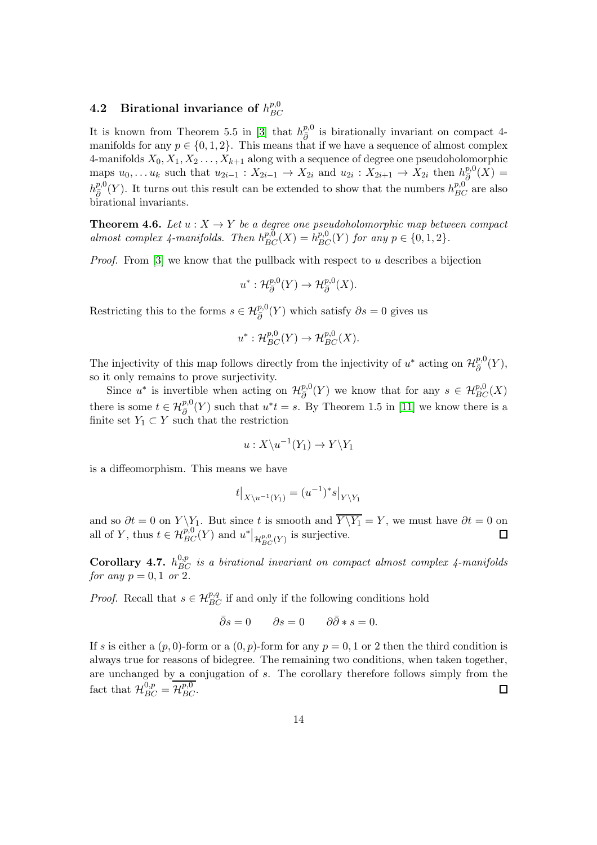#### <span id="page-13-0"></span>4.2 Birational invariance of  $h^{p,0}_{BC}$ BC

It is known from Theorem 5.5 in [\[3\]](#page-26-9) that  $h_{\bar{\partial}}^{p,0}$  is birationally invariant on compact 4manifolds for any  $p \in \{0, 1, 2\}$ . This means that if we have a sequence of almost complex 4-manifolds  $X_0, X_1, X_2, \ldots, X_{k+1}$  along with a sequence of degree one pseudoholomorphic maps  $u_0, \ldots u_k$  such that  $u_{2i-1} : X_{2i-1} \to X_{2i}$  and  $u_{2i} : X_{2i+1} \to X_{2i}$  then  $h_{\bar{\partial}}^{p,0}(X) =$  $h^{p,0}_{\bar{\partial}}(Y)$ . It turns out this result can be extended to show that the numbers  $h^{p,0}_{BC}$  are also birational invariants.

<span id="page-13-1"></span>**Theorem 4.6.** Let  $u : X \to Y$  be a degree one pseudoholomorphic map between compact almost complex 4-manifolds. Then  $h_{BC}^{p,0}(X) = h_{BC}^{p,0}(Y)$  for any  $p \in \{0, 1, 2\}$ .

*Proof.* From [\[3\]](#page-26-9) we know that the pullback with respect to  $u$  describes a bijection

$$
u^* : \mathcal{H}^{p,0}_{\bar{\partial}}(Y) \to \mathcal{H}^{p,0}_{\bar{\partial}}(X).
$$

Restricting this to the forms  $s \in \mathcal{H}_{\bar{\partial}}^{p,0}(Y)$  which satisfy  $\partial s = 0$  gives us

$$
u^* : \mathcal{H}_{BC}^{p,0}(Y) \to \mathcal{H}_{BC}^{p,0}(X).
$$

The injectivity of this map follows directly from the injectivity of  $u^*$  acting on  $\mathcal{H}_{\bar{\partial}}^{p,0}$  $_{\bar{\partial}}^{p,\mathsf{o}}(Y),$ so it only remains to prove surjectivity.

Since  $u^*$  is invertible when acting on  $\mathcal{H}_{\bar{\partial}}^{p,0}$  $\frac{p,0}{\delta}(Y)$  we know that for any  $s \in \mathcal{H}_{BC}^{p,0}(X)$ there is some  $t \in \mathcal{H}_{\bar{\partial}}^{p,0}(Y)$  such that  $u^*t = s$ . By Theorem 1.5 in [\[11\]](#page-26-11) we know there is a finite set  $Y_1 \subset Y$  such that the restriction

$$
u:X\backslash u^{-1}(Y_1)\to Y\backslash Y_1
$$

is a diffeomorphism. This means we have

$$
t|_{X\setminus u^{-1}(Y_1)} = (u^{-1})^*s|_{Y\setminus Y_1}
$$

and so  $\partial t = 0$  on  $Y \ Y_1$ . But since t is smooth and  $Y \ Y_1 = Y$ , we must have  $\partial t = 0$  on all of Y, thus  $t \in \mathcal{H}_{BC}^{p,0}(Y)$  and  $u^*|_{\mathcal{H}_{BC}^{p,0}(Y)}$  is surjective.

Corollary 4.7.  $h_{BC}^{0,p}$  is a birational invariant on compact almost complex 4-manifolds for any  $p = 0, 1$  or 2.

*Proof.* Recall that  $s \in \mathcal{H}_{BC}^{p,q}$  if and only if the following conditions hold

$$
\bar{\partial}s = 0 \qquad \partial s = 0 \qquad \partial\bar{\partial} * s = 0.
$$

If s is either a  $(p, 0)$ -form or a  $(0, p)$ -form for any  $p = 0, 1$  or 2 then the third condition is always true for reasons of bidegree. The remaining two conditions, when taken together, are unchanged by a conjugation of s. The corollary therefore follows simply from the fact that  $\mathcal{H}_{BC}^{0,p} = \mathcal{H}_{BC}^{p,0}$ .  $\Box$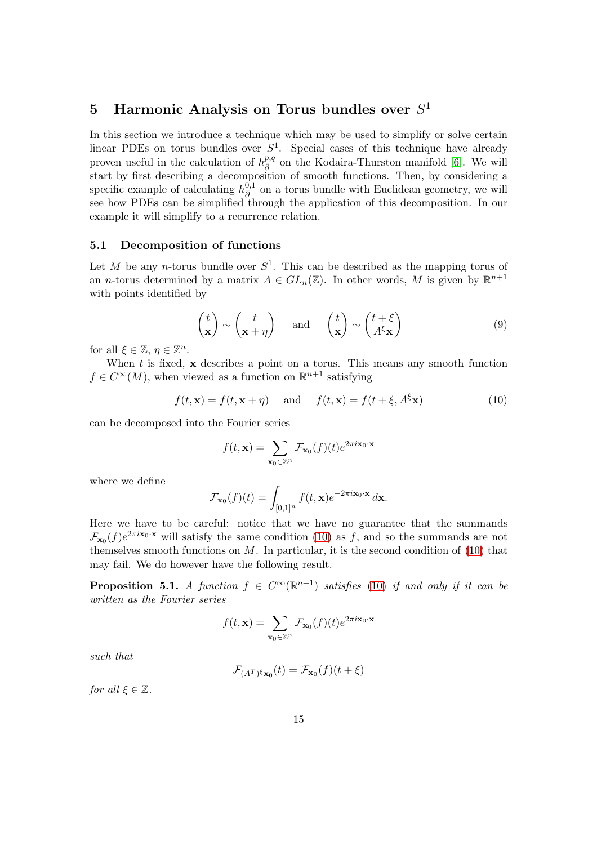# <span id="page-14-0"></span>5 Harmonic Analysis on Torus bundles over  $S^1$

In this section we introduce a technique which may be used to simplify or solve certain linear PDEs on torus bundles over  $S^1$ . Special cases of this technique have already proven useful in the calculation of  $h_{\bar{\partial}}^{p,q}$  on the Kodaira-Thurston manifold [\[6\]](#page-26-0). We will start by first describing a decomposition of smooth functions. Then, by considering a specific example of calculating  $h_{\bar{\partial}}^{0,1}$  on a torus bundle with Euclidean geometry, we will see how PDEs can be simplified through the application of this decomposition. In our example it will simplify to a recurrence relation.

#### <span id="page-14-1"></span>5.1 Decomposition of functions

Let M be any n-torus bundle over  $S^1$ . This can be described as the mapping torus of an *n*-torus determined by a matrix  $A \in GL_n(\mathbb{Z})$ . In other words, M is given by  $\mathbb{R}^{n+1}$ with points identified by

<span id="page-14-4"></span>
$$
\begin{pmatrix} t \\ \mathbf{x} \end{pmatrix} \sim \begin{pmatrix} t \\ \mathbf{x} + \eta \end{pmatrix} \quad \text{and} \quad \begin{pmatrix} t \\ \mathbf{x} \end{pmatrix} \sim \begin{pmatrix} t + \xi \\ A^{\xi} \mathbf{x} \end{pmatrix} \tag{9}
$$

for all  $\xi \in \mathbb{Z}$ ,  $\eta \in \mathbb{Z}^n$ .

When  $t$  is fixed,  $x$  describes a point on a torus. This means any smooth function  $f \in C^{\infty}(M)$ , when viewed as a function on  $\mathbb{R}^{n+1}$  satisfying

<span id="page-14-2"></span>
$$
f(t, \mathbf{x}) = f(t, \mathbf{x} + \eta) \quad \text{and} \quad f(t, \mathbf{x}) = f(t + \xi, A^{\xi} \mathbf{x}) \tag{10}
$$

can be decomposed into the Fourier series

$$
f(t, \mathbf{x}) = \sum_{\mathbf{x}_0 \in \mathbb{Z}^n} \mathcal{F}_{\mathbf{x}_0}(f)(t) e^{2\pi i \mathbf{x}_0 \cdot \mathbf{x}}
$$

where we define

$$
\mathcal{F}_{\mathbf{x}_0}(f)(t) = \int_{[0,1]^n} f(t, \mathbf{x}) e^{-2\pi i \mathbf{x}_0 \cdot \mathbf{x}} d\mathbf{x}.
$$

Here we have to be careful: notice that we have no guarantee that the summands  $\mathcal{F}_{\mathbf{x}_0}(f)e^{2\pi i \mathbf{x}_0 \cdot \mathbf{x}}$  will satisfy the same condition [\(10\)](#page-14-2) as f, and so the summands are not themselves smooth functions on  $M$ . In particular, it is the second condition of  $(10)$  that may fail. We do however have the following result.

<span id="page-14-3"></span>**Proposition 5.1.** A function  $f \in C^{\infty}(\mathbb{R}^{n+1})$  satisfies [\(10\)](#page-14-2) if and only if it can be written as the Fourier series

$$
f(t, \mathbf{x}) = \sum_{\mathbf{x}_0 \in \mathbb{Z}^n} \mathcal{F}_{\mathbf{x}_0}(f)(t) e^{2\pi i \mathbf{x}_0 \cdot \mathbf{x}}
$$

such that

$$
\mathcal{F}_{(A^T)^{\xi}\mathbf{x}_0}(t) = \mathcal{F}_{\mathbf{x}_0}(f)(t+\xi)
$$

for all  $\xi \in \mathbb{Z}$ .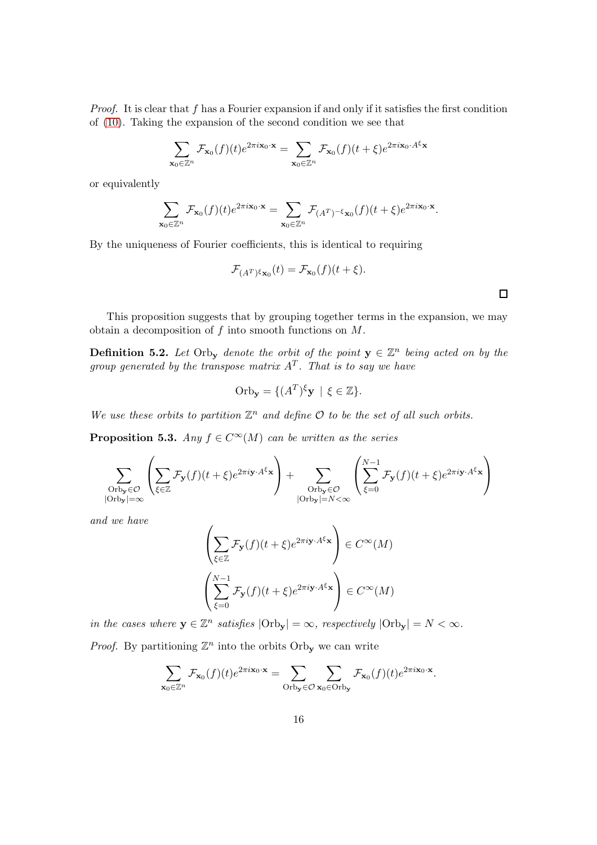*Proof.* It is clear that f has a Fourier expansion if and only if it satisfies the first condition of [\(10\)](#page-14-2). Taking the expansion of the second condition we see that

$$
\sum_{\mathbf{x}_0 \in \mathbb{Z}^n} \mathcal{F}_{\mathbf{x}_0}(f)(t) e^{2\pi i \mathbf{x}_0 \cdot \mathbf{x}} = \sum_{\mathbf{x}_0 \in \mathbb{Z}^n} \mathcal{F}_{\mathbf{x}_0}(f)(t + \xi) e^{2\pi i \mathbf{x}_0 \cdot A^{\xi} \mathbf{x}}
$$

or equivalently

$$
\sum_{\mathbf{x}_0\in\mathbb{Z}^n}\mathcal{F}_{\mathbf{x}_0}(f)(t)e^{2\pi i \mathbf{x}_0\cdot\mathbf{x}}=\sum_{\mathbf{x}_0\in\mathbb{Z}^n}\mathcal{F}_{(A^T)^{-\xi}\mathbf{x}_0}(f)(t+\xi)e^{2\pi i \mathbf{x}_0\cdot\mathbf{x}}.
$$

By the uniqueness of Fourier coefficients, this is identical to requiring

$$
\mathcal{F}_{(A^T)^{\xi} \mathbf{x}_0}(t) = \mathcal{F}_{\mathbf{x}_0}(f)(t + \xi).
$$

This proposition suggests that by grouping together terms in the expansion, we may obtain a decomposition of f into smooth functions on M.

**Definition 5.2.** Let Orby denote the orbit of the point  $y \in \mathbb{Z}^n$  being acted on by the group generated by the transpose matrix  $A<sup>T</sup>$ . That is to say we have

Orb<sub>y</sub> = {
$$
(A^T)^{\xi}
$$
**y** |  $\xi \in \mathbb{Z}$  }.

We use these orbits to partition  $\mathbb{Z}^n$  and define  $\mathcal O$  to be the set of all such orbits.

<span id="page-15-0"></span>**Proposition 5.3.** Any  $f \in C^{\infty}(M)$  can be written as the series

$$
\sum_{\substack{\text{Orb}_{\mathbf{y}} \in \mathcal{O} \\ |\text{Orb}_{\mathbf{y}}| = \infty}} \left( \sum_{\xi \in \mathbb{Z}} \mathcal{F}_{\mathbf{y}}(f)(t+\xi) e^{2\pi i \mathbf{y} \cdot A^{\xi} \mathbf{x}} \right) + \sum_{\substack{\text{Orb}_{\mathbf{y}} \in \mathcal{O} \\ |\text{Orb}_{\mathbf{y}}| = N < \infty}} \left( \sum_{\xi=0}^{N-1} \mathcal{F}_{\mathbf{y}}(f)(t+\xi) e^{2\pi i \mathbf{y} \cdot A^{\xi} \mathbf{x}} \right)
$$

and we have

$$
\left(\sum_{\xi \in \mathbb{Z}} \mathcal{F}_{\mathbf{y}}(f)(t+\xi) e^{2\pi i \mathbf{y} \cdot A^{\xi_{\mathbf{x}}}}\right) \in C^{\infty}(M)
$$

$$
\left(\sum_{\xi=0}^{N-1} \mathcal{F}_{\mathbf{y}}(f)(t+\xi) e^{2\pi i \mathbf{y} \cdot A^{\xi_{\mathbf{x}}}}\right) \in C^{\infty}(M)
$$

in the cases where  $y \in \mathbb{Z}^n$  satisfies  $|\text{Orb}_{y}| = \infty$ , respectively  $|\text{Orb}_{y}| = N < \infty$ . *Proof.* By partitioning  $\mathbb{Z}^n$  into the orbits Orby we can write

$$
\sum_{\mathbf{x}_0 \in \mathbb{Z}^n} \mathcal{F}_{\mathbf{x}_0}(f)(t) e^{2\pi i \mathbf{x}_0 \cdot \mathbf{x}} = \sum_{\text{Orb}_{\mathbf{y}} \in \mathcal{O}} \sum_{\mathbf{x}_0 \in \text{Orb}_{\mathbf{y}}} \mathcal{F}_{\mathbf{x}_0}(f)(t) e^{2\pi i \mathbf{x}_0 \cdot \mathbf{x}}.
$$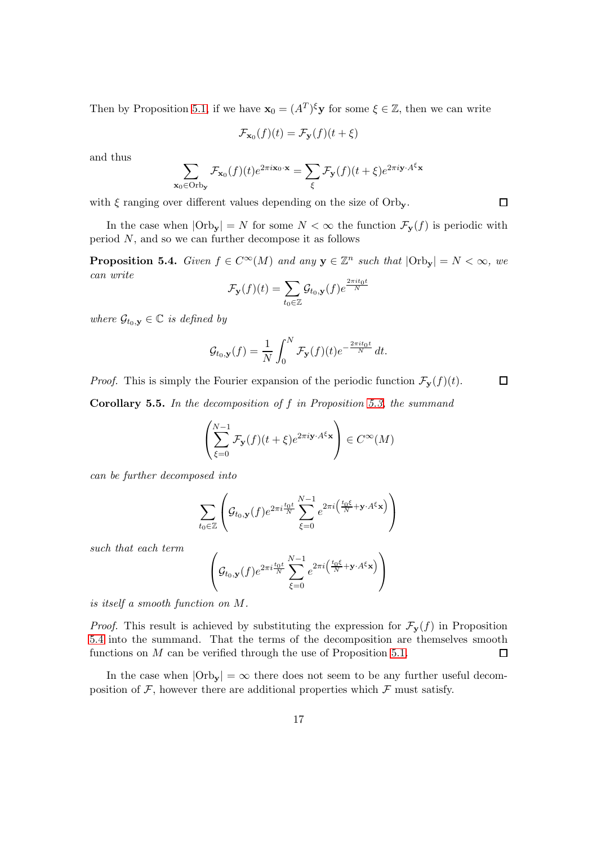Then by Proposition [5.1,](#page-14-3) if we have  $\mathbf{x}_0 = (A^T)^{\xi} \mathbf{y}$  for some  $\xi \in \mathbb{Z}$ , then we can write

$$
\mathcal{F}_{\mathbf{x}_0}(f)(t) = \mathcal{F}_{\mathbf{y}}(f)(t + \xi)
$$

and thus

$$
\sum_{\mathbf{x}_0 \in \text{Orb}_{\mathbf{y}}} \mathcal{F}_{\mathbf{x}_0}(f)(t) e^{2\pi i \mathbf{x}_0 \cdot \mathbf{x}} = \sum_{\xi} \mathcal{F}_{\mathbf{y}}(f)(t + \xi) e^{2\pi i \mathbf{y} \cdot A^{\xi} \mathbf{x}}
$$

with  $\xi$  ranging over different values depending on the size of Orb<sub>y</sub>.

In the case when  $|\text{Orb}_{y}| = N$  for some  $N < \infty$  the function  $\mathcal{F}_{y}(f)$  is periodic with period N, and so we can further decompose it as follows

<span id="page-16-0"></span>**Proposition 5.4.** Given  $f \in C^{\infty}(M)$  and any  $y \in \mathbb{Z}^n$  such that  $|\text{Orb}_y| = N < \infty$ , we can write

$$
\mathcal{F}_{\mathbf{y}}(f)(t) = \sum_{t_0 \in \mathbb{Z}} \mathcal{G}_{t_0, \mathbf{y}}(f) e^{\frac{2\pi i t_0 t}{N}}
$$

where  $\mathcal{G}_{t_0,\mathbf{y}} \in \mathbb{C}$  is defined by

$$
\mathcal{G}_{t_0,\mathbf{y}}(f) = \frac{1}{N} \int_0^N \mathcal{F}_{\mathbf{y}}(f)(t) e^{-\frac{2\pi it_0 t}{N}} dt.
$$

*Proof.* This is simply the Fourier expansion of the periodic function  $\mathcal{F}_{\mathbf{y}}(f)(t)$ .

**Corollary 5.5.** In the decomposition of  $f$  in Proposition [5.3,](#page-15-0) the summand

$$
\left(\sum_{\xi=0}^{N-1} \mathcal{F}_{\mathbf{y}}(f)(t+\xi) e^{2\pi i \mathbf{y} \cdot A^{\xi} \mathbf{x}}\right) \in C^{\infty}(M)
$$

can be further decomposed into

$$
\sum_{t_0 \in \mathbb{Z}} \left( \mathcal{G}_{t_0, \mathbf{y}}(f) e^{2\pi i \frac{t_0 t}{N}} \sum_{\xi=0}^{N-1} e^{2\pi i \left( \frac{t_0 \xi}{N} + \mathbf{y} \cdot A^{\xi} \mathbf{x} \right)} \right)
$$

such that each term

$$
\left(\mathcal{G}_{t_0,\mathbf{y}}(f)e^{2\pi i\frac{t_0t}{N}}\sum_{\xi=0}^{N-1}e^{2\pi i\left(\frac{t_0\xi}{N}+\mathbf{y}\cdot A^{\xi}\mathbf{x}\right)}\right)
$$

is itself a smooth function on M.

*Proof.* This result is achieved by substituting the expression for  $\mathcal{F}_{\mathbf{y}}(f)$  in Proposition [5.4](#page-16-0) into the summand. That the terms of the decomposition are themselves smooth functions on M can be verified through the use of Proposition [5.1.](#page-14-3)  $\Box$ 

In the case when  $|Orb_{\mathbf{v}}| = \infty$  there does not seem to be any further useful decomposition of  $\mathcal{F}$ , however there are additional properties which  $\mathcal{F}$  must satisfy.

 $\Box$ 

 $\Box$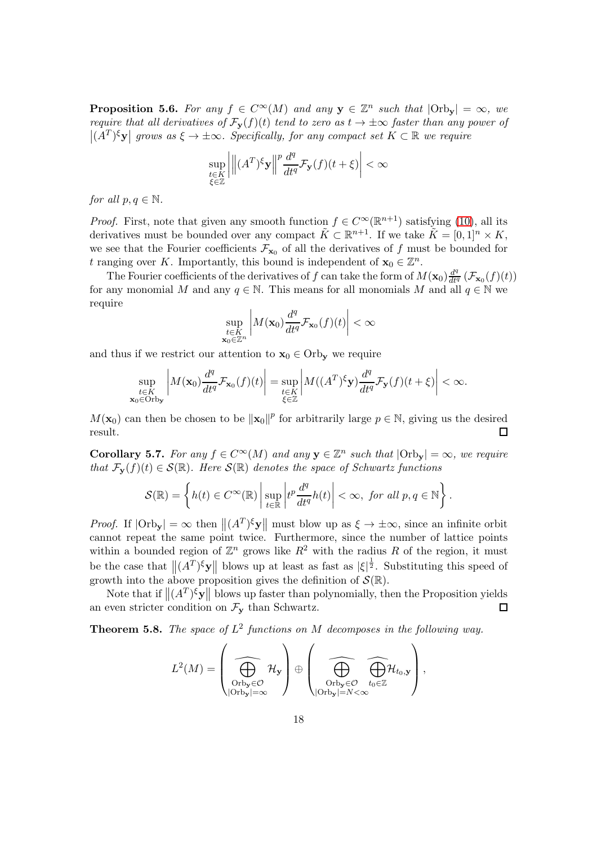**Proposition 5.6.** For any  $f \in C^{\infty}(M)$  and any  $y \in \mathbb{Z}^n$  such that  $|\text{Orb}_y| = \infty$ , we require that all derivatives of  $\mathcal{F}_{\mathbf{y}}(f)(t)$  tend to zero as  $t \to \pm \infty$  faster than any power of  $|(A<sup>T</sup>)<sup>\xi</sup>**y**|$  grows as  $\xi \to \pm \infty$ . Specifically, for any compact set  $K \subset \mathbb{R}$  we require

$$
\sup_{\substack{t \in K \\ \xi \in \mathbb{Z}}} \left| \left\| (A^T)^{\xi} \mathbf{y} \right\|^p \frac{d^q}{dt^q} \mathcal{F}_{\mathbf{y}}(f)(t+\xi) \right| < \infty
$$

for all  $p, q \in \mathbb{N}$ .

 $\mathbf x$ 

*Proof.* First, note that given any smooth function  $f \in C^{\infty}(\mathbb{R}^{n+1})$  satisfying [\(10\)](#page-14-2), all its derivatives must be bounded over any compact  $\tilde{K} \subset \mathbb{R}^{n+1}$ . If we take  $\tilde{K} = [0,1]^n \times K$ , we see that the Fourier coefficients  $\mathcal{F}_{\mathbf{x}_0}$  of all the derivatives of f must be bounded for t ranging over K. Importantly, this bound is independent of  $\mathbf{x}_0 \in \mathbb{Z}^n$ .

The Fourier coefficients of the derivatives of f can take the form of  $M(\mathbf{x}_0) \frac{d^q}{dt^q} (\mathcal{F}_{\mathbf{x}_0}(f)(t))$ for any monomial M and any  $q \in \mathbb{N}$ . This means for all monomials M and all  $q \in \mathbb{N}$  we require

$$
\sup_{\substack{t \in K \\ \mathbf{x}_0 \in \mathbb{Z}^n}} \left| M(\mathbf{x}_0) \frac{d^q}{dt^q} \mathcal{F}_{\mathbf{x}_0}(f)(t) \right| < \infty
$$

and thus if we restrict our attention to  $x_0 \in \text{Orb}_{v}$  we require

$$
\sup_{\substack{t\in K\\0\in\text{Orb}_{\mathbf{y}}}}\left|M(\mathbf{x}_0)\frac{d^q}{dt^q}\mathcal{F}_{\mathbf{x}_0}(f)(t)\right| = \sup_{\substack{t\in K\\ \xi\in\mathbb{Z}}} \left|M((A^T)^\xi \mathbf{y})\frac{d^q}{dt^q}\mathcal{F}_{\mathbf{y}}(f)(t+\xi)\right| < \infty.
$$

 $M(\mathbf{x}_0)$  can then be chosen to be  $\|\mathbf{x}_0\|^p$  for arbitrarily large  $p \in \mathbb{N}$ , giving us the desired result.

**Corollary 5.7.** For any  $f \in C^{\infty}(M)$  and any  $y \in \mathbb{Z}^n$  such that  $|\text{Orb}_y| = \infty$ , we require that  $\mathcal{F}_{\mathbf{v}}(f)(t) \in \mathcal{S}(\mathbb{R})$ . Here  $\mathcal{S}(\mathbb{R})$  denotes the space of Schwartz functions

$$
\mathcal{S}(\mathbb{R}) = \left\{ h(t) \in C^{\infty}(\mathbb{R}) \, \middle| \, \sup_{t \in \mathbb{R}} \left| t^p \frac{d^q}{dt^q} h(t) \right| < \infty, \text{ for all } p, q \in \mathbb{N} \right\}.
$$

*Proof.* If  $|\text{Orb}_{\mathbf{y}}| = \infty$  then  $||(A^T)^{\xi} \mathbf{y}||$  must blow up as  $\xi \to \pm \infty$ , since an infinite orbit cannot repeat the same point twice. Furthermore, since the number of lattice points within a bounded region of  $\mathbb{Z}^n$  grows like  $R^2$  with the radius R of the region, it must be the case that  $\|(A^T)^{\xi} \mathbf{y}\|$  blows up at least as fast as  $|\xi|^{\frac{1}{2}}$ . Substituting this speed of growth into the above proposition gives the definition of  $S(\mathbb{R})$ .

Note that if  $\|(A^T)^{\xi} \mathbf{y}\|$  blows up faster than polynomially, then the Proposition yields an even stricter condition on  $\mathcal{F}_{\mathbf{y}}$  than Schwartz.

<span id="page-17-0"></span>**Theorem 5.8.** The space of  $L^2$  functions on M decomposes in the following way.

$$
L^2(M) = \left(\bigoplus_{\substack{\text{Orb}_\mathbf{y}\in\mathcal{O}\\\text{|Orb}_\mathbf{y}|=\infty}}\mathcal{H}_\mathbf{y}\right) \oplus \left(\bigoplus_{\substack{\text{Orb}_\mathbf{y}\in\mathcal{O}\\\text{|Orb}_\mathbf{y}|=N<\infty}}\widehat{\bigoplus_{t_0\in\mathbb{Z}}}\mathcal{H}_{t_0,\mathbf{y}}\right),
$$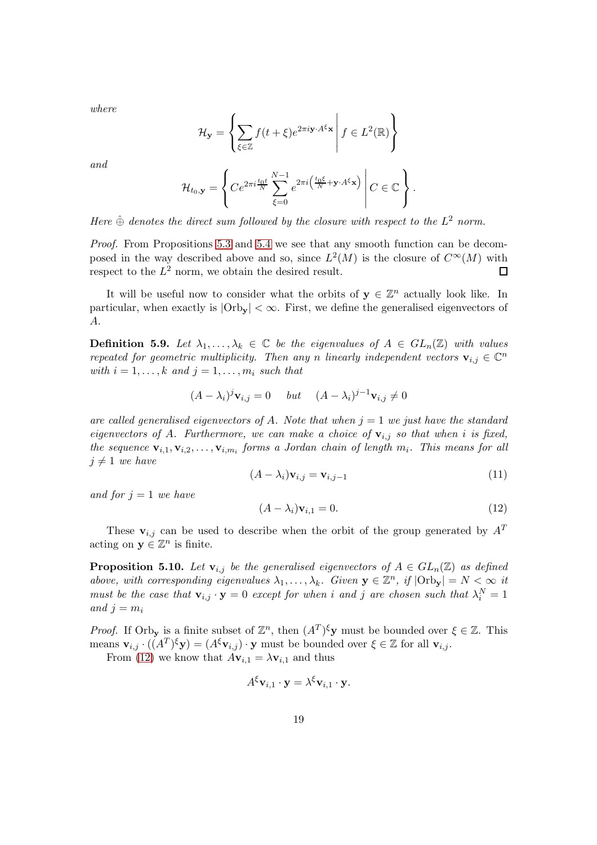where

$$
\mathcal{H}_{\mathbf{y}} = \left\{ \sum_{\xi \in \mathbb{Z}} f(t + \xi) e^{2\pi i \mathbf{y} \cdot A^{\xi} \mathbf{x}} \middle| f \in L^{2}(\mathbb{R}) \right\}
$$

and

$$
\mathcal{H}_{t_0,\mathbf{y}} = \left\{ Ce^{2\pi i \frac{t_0 t}{N}} \sum_{\xi=0}^{N-1} e^{2\pi i \left( \frac{t_0 \xi}{N} + \mathbf{y} \cdot A^{\xi} \mathbf{x} \right)} \middle| C \in \mathbb{C} \right\}.
$$

Here  $\hat{\oplus}$  denotes the direct sum followed by the closure with respect to the  $L^2$  norm.

Proof. From Propositions [5.3](#page-15-0) and [5.4](#page-16-0) we see that any smooth function can be decomposed in the way described above and so, since  $L^2(M)$  is the closure of  $C^{\infty}(M)$  with respect to the  $L^2$  norm, we obtain the desired result.  $\Box$ 

It will be useful now to consider what the orbits of  $y \in \mathbb{Z}^n$  actually look like. In particular, when exactly is  $|\text{Orb}_{y}| < \infty$ . First, we define the generalised eigenvectors of A.

**Definition 5.9.** Let  $\lambda_1, \ldots, \lambda_k \in \mathbb{C}$  be the eigenvalues of  $A \in GL_n(\mathbb{Z})$  with values repeated for geometric multiplicity. Then any n linearly independent vectors  $\mathbf{v}_{i,j} \in \mathbb{C}^n$ with  $i = 1, \ldots, k$  and  $j = 1, \ldots, m_i$  such that

$$
(A - \lambda_i)^j \mathbf{v}_{i,j} = 0 \quad but \quad (A - \lambda_i)^{j-1} \mathbf{v}_{i,j} \neq 0
$$

are called generalised eigenvectors of A. Note that when  $j = 1$  we just have the standard eigenvectors of A. Furthermore, we can make a choice of  $v_{i,j}$  so that when i is fixed, the sequence  $\mathbf{v}_{i,1}, \mathbf{v}_{i,2}, \ldots, \mathbf{v}_{i,m_i}$  forms a Jordan chain of length  $m_i$ . This means for all  $j \neq 1$  we have

<span id="page-18-1"></span>
$$
(A - \lambda_i)\mathbf{v}_{i,j} = \mathbf{v}_{i,j-1} \tag{11}
$$

and for  $j = 1$  we have

<span id="page-18-0"></span>
$$
(A - \lambda_i)\mathbf{v}_{i,1} = 0. \tag{12}
$$

These  $v_{i,j}$  can be used to describe when the orbit of the group generated by  $A<sup>T</sup>$ acting on  $y \in \mathbb{Z}^n$  is finite.

**Proposition 5.10.** Let  $\mathbf{v}_{i,j}$  be the generalised eigenvectors of  $A \in GL_n(\mathbb{Z})$  as defined above, with corresponding eigenvalues  $\lambda_1, \ldots, \lambda_k$ . Given  $\mathbf{y} \in \mathbb{Z}^n$ , if  $|\text{Orb}_{\mathbf{y}}| = N < \infty$  it must be the case that  $\mathbf{v}_{i,j} \cdot \mathbf{y} = 0$  except for when i and j are chosen such that  $\lambda_i^N = 1$ and  $j = m_i$ 

*Proof.* If Orby is a finite subset of  $\mathbb{Z}^n$ , then  $(A^T)^{\xi}$ **y** must be bounded over  $\xi \in \mathbb{Z}$ . This means  $\mathbf{v}_{i,j} \cdot ((A^T)^{\xi} \mathbf{y}) = (A^{\xi} \mathbf{v}_{i,j}) \cdot \mathbf{y}$  must be bounded over  $\xi \in \mathbb{Z}$  for all  $\mathbf{v}_{i,j}$ .

From [\(12\)](#page-18-0) we know that  $A\mathbf{v}_{i,1} = \lambda \mathbf{v}_{i,1}$  and thus

$$
A^{\xi} \mathbf{v}_{i,1} \cdot \mathbf{y} = \lambda^{\xi} \mathbf{v}_{i,1} \cdot \mathbf{y}.
$$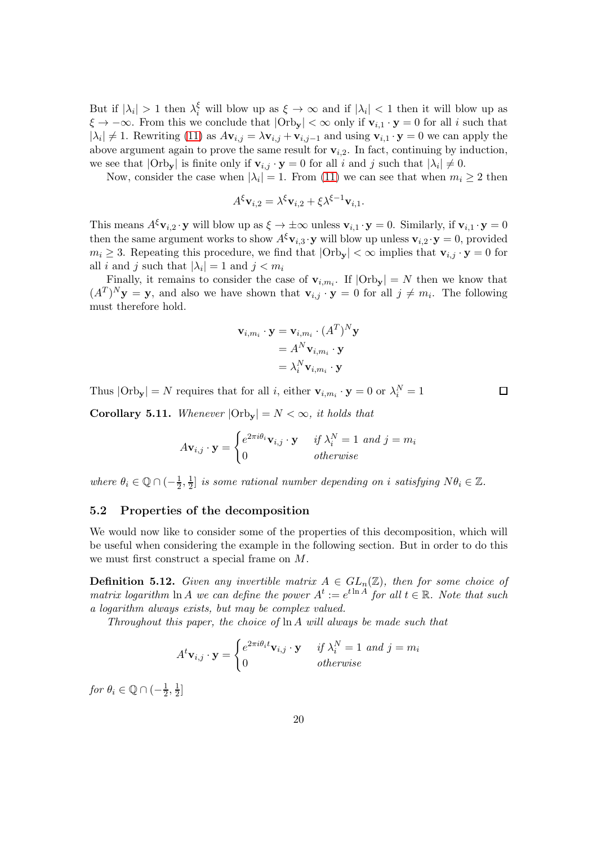But if  $|\lambda_i| > 1$  then  $\lambda_i^{\xi}$  will blow up as  $\xi \to \infty$  and if  $|\lambda_i| < 1$  then it will blow up as  $\xi \to -\infty$ . From this we conclude that  $|\text{Orb}_{y}| < \infty$  only if  $v_{i,1} \cdot y = 0$  for all i such that  $|\lambda_i| \neq 1$ . Rewriting [\(11\)](#page-18-1) as  $A\mathbf{v}_{i,j} = \lambda \mathbf{v}_{i,j} + \mathbf{v}_{i,j-1}$  and using  $\mathbf{v}_{i,1} \cdot \mathbf{y} = 0$  we can apply the above argument again to prove the same result for  $v_{i,2}$ . In fact, continuing by induction, we see that  $|Orb_{y}|$  is finite only if  $v_{i,j} \cdot y = 0$  for all i and j such that  $|\lambda_i| \neq 0$ .

Now, consider the case when  $|\lambda_i| = 1$ . From [\(11\)](#page-18-1) we can see that when  $m_i \ge 2$  then

$$
A^{\xi} \mathbf{v}_{i,2} = \lambda^{\xi} \mathbf{v}_{i,2} + \xi \lambda^{\xi-1} \mathbf{v}_{i,1}.
$$

This means  $A^{\xi}v_{i,2} \cdot y$  will blow up as  $\xi \to \pm \infty$  unless  $v_{i,1} \cdot y = 0$ . Similarly, if  $v_{i,1} \cdot y = 0$ then the same argument works to show  $A^{\xi}v_{i,3} \cdot y$  will blow up unless  $v_{i,2} \cdot y = 0$ , provided  $m_i \geq 3$ . Repeating this procedure, we find that  $|\text{Orb}_{\mathbf{v}}| < \infty$  implies that  $\mathbf{v}_{i,j} \cdot \mathbf{y} = 0$  for all *i* and *j* such that  $|\lambda_i| = 1$  and  $j < m_i$ 

Finally, it remains to consider the case of  $\mathbf{v}_{i,m_i}$ . If  $|\text{Orb}_{\mathbf{y}}| = N$  then we know that  $(A^T)^N$ **y** = **y**, and also we have shown that  $\mathbf{v}_{i,j} \cdot \mathbf{y} = 0$  for all  $j \neq m_i$ . The following must therefore hold.

$$
\mathbf{v}_{i,m_i} \cdot \mathbf{y} = \mathbf{v}_{i,m_i} \cdot (A^T)^N \mathbf{y}
$$
  
=  $A^N \mathbf{v}_{i,m_i} \cdot \mathbf{y}$   
=  $\lambda_i^N \mathbf{v}_{i,m_i} \cdot \mathbf{y}$ 

Thus  $|\text{Orb}_{\mathbf{y}}| = N$  requires that for all *i*, either  $\mathbf{v}_{i,m_i} \cdot \mathbf{y} = 0$  or  $\lambda_i^N = 1$ 

<span id="page-19-1"></span>**Corollary 5.11.** Whenever  $|Orb_v| = N < \infty$ , it holds that

$$
A\mathbf{v}_{i,j} \cdot \mathbf{y} = \begin{cases} e^{2\pi i \theta_i} \mathbf{v}_{i,j} \cdot \mathbf{y} & \text{if } \lambda_i^N = 1 \text{ and } j = m_i \\ 0 & \text{otherwise} \end{cases}
$$

where  $\theta_i \in \mathbb{Q} \cap (-\frac{1}{2}, \frac{1}{2})$  $\frac{1}{2}$  is some rational number depending on i satisfying  $N\theta_i \in \mathbb{Z}$ .

### <span id="page-19-0"></span>5.2 Properties of the decomposition

We would now like to consider some of the properties of this decomposition, which will be useful when considering the example in the following section. But in order to do this we must first construct a special frame on M.

<span id="page-19-2"></span>**Definition 5.12.** Given any invertible matrix  $A \in GL_n(\mathbb{Z})$ , then for some choice of matrix logarithm  $\ln A$  we can define the power  $A^t := e^{t \ln A}$  for all  $t \in \mathbb{R}$ . Note that such a logarithm always exists, but may be complex valued.

Throughout this paper, the choice of ln A will always be made such that

$$
Atvi,j \cdot y = \begin{cases} e^{2\pi i \theta_i t} vi,j \cdot y & if \lambda_i^N = 1 \ and \ j = m_i \\ 0 & otherwise \end{cases}
$$

for  $\theta_i \in \mathbb{Q} \cap (-\frac{1}{2})$  $\frac{1}{2}, \frac{1}{2}$  $rac{1}{2}$ ]  $\Box$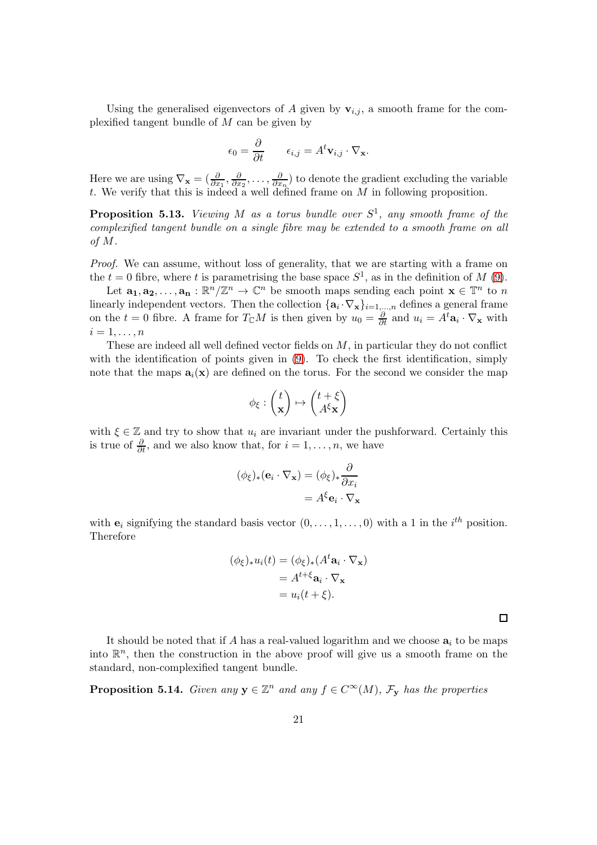Using the generalised eigenvectors of A given by  $\mathbf{v}_{i,j}$ , a smooth frame for the complexified tangent bundle of M can be given by

$$
\epsilon_0 = \frac{\partial}{\partial t} \qquad \epsilon_{i,j} = A^t \mathbf{v}_{i,j} \cdot \nabla_{\mathbf{x}}.
$$

Here we are using  $\nabla_{\mathbf{x}} = \left(\frac{\partial}{\partial x_1}, \frac{\partial}{\partial x_2}\right)$  $\frac{\partial}{\partial x_2}, \ldots, \frac{\partial}{\partial x_n}$  $\frac{\partial}{\partial x_n}$ ) to denote the gradient excluding the variable t. We verify that this is indeed a well defined frame on  $M$  in following proposition.

**Proposition 5.13.** Viewing M as a torus bundle over  $S^1$ , any smooth frame of the complexified tangent bundle on a single fibre may be extended to a smooth frame on all of M.

Proof. We can assume, without loss of generality, that we are starting with a frame on the  $t = 0$  fibre, where t is parametrising the base space  $S^1$ , as in the definition of M [\(9\)](#page-14-4).

Let  $\mathbf{a_1}, \mathbf{a_2}, \ldots, \mathbf{a_n} : \mathbb{R}^n/\mathbb{Z}^n \to \mathbb{C}^n$  be smooth maps sending each point  $\mathbf{x} \in \mathbb{T}^n$  to n linearly independent vectors. Then the collection  $\{a_i \cdot \nabla_x\}_{i=1,\dots,n}$  defines a general frame on the  $t = 0$  fibre. A frame for  $T_{\mathbb{C}}M$  is then given by  $u_0 = \frac{\partial}{\partial t}$  and  $u_i = A^t \mathbf{a}_i \cdot \nabla_{\mathbf{x}}$  with  $i=1,\ldots,n$ 

These are indeed all well defined vector fields on M, in particular they do not conflict with the identification of points given in [\(9\)](#page-14-4). To check the first identification, simply note that the maps  $a_i(x)$  are defined on the torus. For the second we consider the map

$$
\phi_{\xi}: \begin{pmatrix} t \\ \mathbf{x} \end{pmatrix} \mapsto \begin{pmatrix} t + \xi \\ A^{\xi} \mathbf{x} \end{pmatrix}
$$

with  $\xi \in \mathbb{Z}$  and try to show that  $u_i$  are invariant under the pushforward. Certainly this is true of  $\frac{\partial}{\partial t}$ , and we also know that, for  $i = 1, \ldots, n$ , we have

$$
(\phi_{\xi})_{*}(\mathbf{e}_{i} \cdot \nabla_{\mathbf{x}}) = (\phi_{\xi})_{*} \frac{\partial}{\partial x_{i}}
$$

$$
= A^{\xi} \mathbf{e}_{i} \cdot \nabla_{\mathbf{x}}
$$

with  $e_i$  signifying the standard basis vector  $(0, \ldots, 1, \ldots, 0)$  with a 1 in the  $i^{th}$  position. Therefore

$$
(\phi_{\xi})_* u_i(t) = (\phi_{\xi})_* (A^t \mathbf{a}_i \cdot \nabla_{\mathbf{x}})
$$
  
=  $A^{t+\xi} \mathbf{a}_i \cdot \nabla_{\mathbf{x}}$   
=  $u_i(t + \xi)$ .

It should be noted that if A has a real-valued logarithm and we choose  $a_i$  to be maps into  $\mathbb{R}^n$ , then the construction in the above proof will give us a smooth frame on the standard, non-complexified tangent bundle.

 $\Box$ 

**Proposition 5.14.** Given any  $y \in \mathbb{Z}^n$  and any  $f \in C^{\infty}(M)$ ,  $\mathcal{F}_y$  has the properties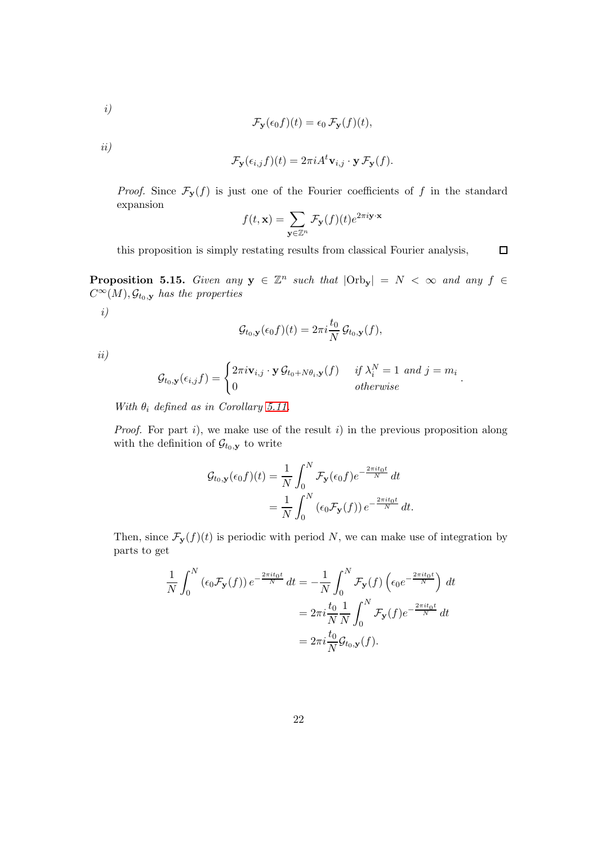$$
i)
$$

$$
\mathcal{F}_{\mathbf{y}}(\epsilon_0 f)(t) = \epsilon_0 \mathcal{F}_{\mathbf{y}}(f)(t),
$$

ii)

$$
\mathcal{F}_{\mathbf{y}}(\epsilon_{i,j}f)(t) = 2\pi i A^t \mathbf{v}_{i,j} \cdot \mathbf{y} \mathcal{F}_{\mathbf{y}}(f).
$$

*Proof.* Since  $\mathcal{F}_{\mathbf{y}}(f)$  is just one of the Fourier coefficients of f in the standard expansion

$$
f(t, \mathbf{x}) = \sum_{\mathbf{y} \in \mathbb{Z}^n} \mathcal{F}_{\mathbf{y}}(f)(t) e^{2\pi i \mathbf{y} \cdot \mathbf{x}}
$$

this proposition is simply restating results from classical Fourier analysis,  $\Box$ 

<span id="page-21-0"></span>**Proposition 5.15.** Given any  $y \in \mathbb{Z}^n$  such that  $|\text{Orb}_y| = N < \infty$  and any  $f \in$  $C^{\infty}(M)$ ,  $\mathcal{G}_{t_0, \mathbf{y}}$  has the properties i)

$$
\mathcal{G}_{t_0,\mathbf{y}}(\epsilon_0 f)(t) = 2\pi i \frac{t_0}{N} \mathcal{G}_{t_0,\mathbf{y}}(f),
$$

ii)

$$
\mathcal{G}_{t_0,\mathbf{y}}(\epsilon_{i,j}f) = \begin{cases} 2\pi i \mathbf{v}_{i,j} \cdot \mathbf{y} \mathcal{G}_{t_0 + N\theta_i,\mathbf{y}}(f) & \text{if } \lambda_i^N = 1 \text{ and } j = m_i \\ 0 & \text{otherwise} \end{cases}
$$

.

With  $\theta_i$  defined as in Corollary [5.11.](#page-19-1)

*Proof.* For part  $i$ , we make use of the result  $i$ ) in the previous proposition along with the definition of  $\mathcal{G}_{t_0,\mathbf{y}}$  to write

$$
\mathcal{G}_{t_0,\mathbf{y}}(\epsilon_0 f)(t) = \frac{1}{N} \int_0^N \mathcal{F}_{\mathbf{y}}(\epsilon_0 f) e^{-\frac{2\pi i t_0 t}{N}} dt
$$
  
= 
$$
\frac{1}{N} \int_0^N (\epsilon_0 \mathcal{F}_{\mathbf{y}}(f)) e^{-\frac{2\pi i t_0 t}{N}} dt.
$$

Then, since  $\mathcal{F}_{\mathbf{y}}(f)(t)$  is periodic with period N, we can make use of integration by parts to get

$$
\frac{1}{N} \int_0^N (\epsilon_0 \mathcal{F}_\mathbf{y}(f)) e^{-\frac{2\pi i t_0 t}{N}} dt = -\frac{1}{N} \int_0^N \mathcal{F}_\mathbf{y}(f) \left( \epsilon_0 e^{-\frac{2\pi i t_0 t}{N}} \right) dt
$$

$$
= 2\pi i \frac{t_0}{N} \frac{1}{N} \int_0^N \mathcal{F}_\mathbf{y}(f) e^{-\frac{2\pi i t_0 t}{N}} dt
$$

$$
= 2\pi i \frac{t_0}{N} \mathcal{G}_{t_0, \mathbf{y}}(f).
$$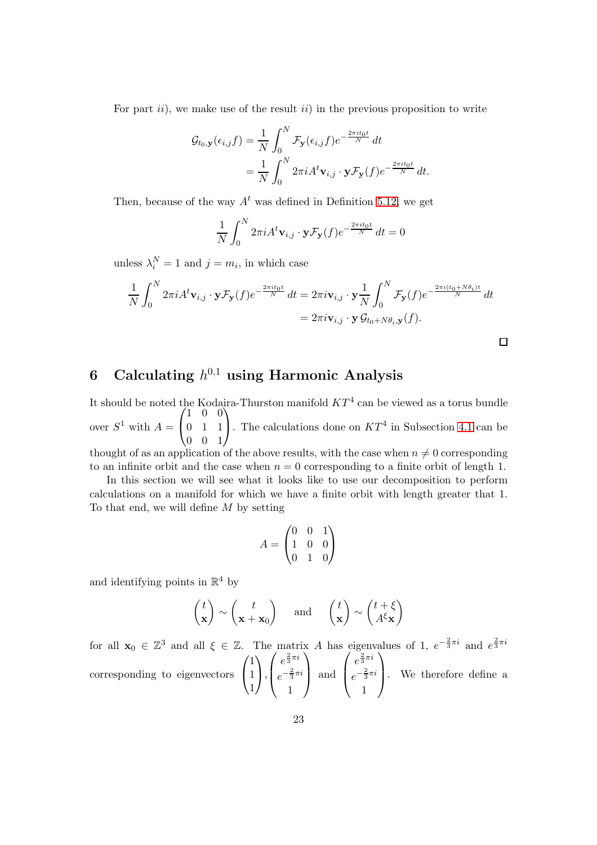For part  $ii$ , we make use of the result  $ii$  in the previous proposition to write

$$
\mathcal{G}_{t_0,\mathbf{y}}(\epsilon_{i,j}f) = \frac{1}{N} \int_0^N \mathcal{F}_{\mathbf{y}}(\epsilon_{i,j}f) e^{-\frac{2\pi it_0 t}{N}} dt
$$
  
= 
$$
\frac{1}{N} \int_0^N 2\pi i A^t \mathbf{v}_{i,j} \cdot \mathbf{y} \mathcal{F}_{\mathbf{y}}(f) e^{-\frac{2\pi it_0 t}{N}} dt.
$$

Then, because of the way  $A<sup>t</sup>$  was defined in Definition [5.12,](#page-19-2) we get

$$
\frac{1}{N} \int_0^N 2\pi i A^t \mathbf{v}_{i,j} \cdot \mathbf{y} \mathcal{F}_\mathbf{y}(f) e^{-\frac{2\pi i t_0 t}{N}} dt = 0
$$

unless  $\lambda_i^N = 1$  and  $j = m_i$ , in which case

$$
\frac{1}{N} \int_0^N 2\pi i A^t \mathbf{v}_{i,j} \cdot \mathbf{y} \mathcal{F}_\mathbf{y}(f) e^{-\frac{2\pi i t_0 t}{N}} dt = 2\pi i \mathbf{v}_{i,j} \cdot \mathbf{y} \frac{1}{N} \int_0^N \mathcal{F}_\mathbf{y}(f) e^{-\frac{2\pi i (t_0 + N\theta_i)t}{N}} dt
$$
  
=  $2\pi i \mathbf{v}_{i,j} \cdot \mathbf{y} \mathcal{G}_{t_0 + N\theta_i, \mathbf{y}}(f).$ 

# <span id="page-22-0"></span>6 Calculating  $h^{0,1}$  using Harmonic Analysis

It should be noted the Kodaira-Thurston manifold  $KT^4$  can be viewed as a torus bundle over  $S^1$  with  $A =$  $\sqrt{ }$  $\mathcal{L}$ 1 0 0 0 1 1  $0 \t 0 \t 1$  $\setminus$ . The calculations done on  $KT^4$  in Subsection [4.1](#page-10-0) can be thought of as an application of the above results, with the case when  $n \neq 0$  corresponding

to an infinite orbit and the case when  $n = 0$  corresponding to a finite orbit of length 1.

In this section we will see what it looks like to use our decomposition to perform calculations on a manifold for which we have a finite orbit with length greater that 1. To that end, we will define  $M$  by setting

$$
A = \begin{pmatrix} 0 & 0 & 1 \\ 1 & 0 & 0 \\ 0 & 1 & 0 \end{pmatrix}
$$

and identifying points in  $\mathbb{R}^4$  by

$$
\begin{pmatrix} t \\ \mathbf{x} \end{pmatrix} \sim \begin{pmatrix} t \\ \mathbf{x} + \mathbf{x}_0 \end{pmatrix}
$$
 and  $\begin{pmatrix} t \\ \mathbf{x} \end{pmatrix} \sim \begin{pmatrix} t + \xi \\ A^{\xi} \mathbf{x} \end{pmatrix}$ 

for all  $\mathbf{x}_0 \in \mathbb{Z}^3$  and all  $\xi \in \mathbb{Z}$ . The matrix A has eigenvalues of 1,  $e^{-\frac{2}{3}\pi i}$  and  $e^{\frac{2}{3}\pi i}$ corresponding to eigenvectors  $\sqrt{ }$  $\overline{1}$ 1 1 1  $\setminus$  $\vert$ ,  $\sqrt{ }$  $\overline{\mathcal{L}}$  $e^{\frac{2}{3}\pi i}$  $e^{-\frac{2}{3}\pi i}$ 1  $\setminus$  and  $\sqrt{ }$  $\overline{\mathcal{L}}$  $e^{\frac{2}{3}\pi i}$  $e^{-\frac{2}{3}\pi i}$ 1  $\setminus$ . We therefore define a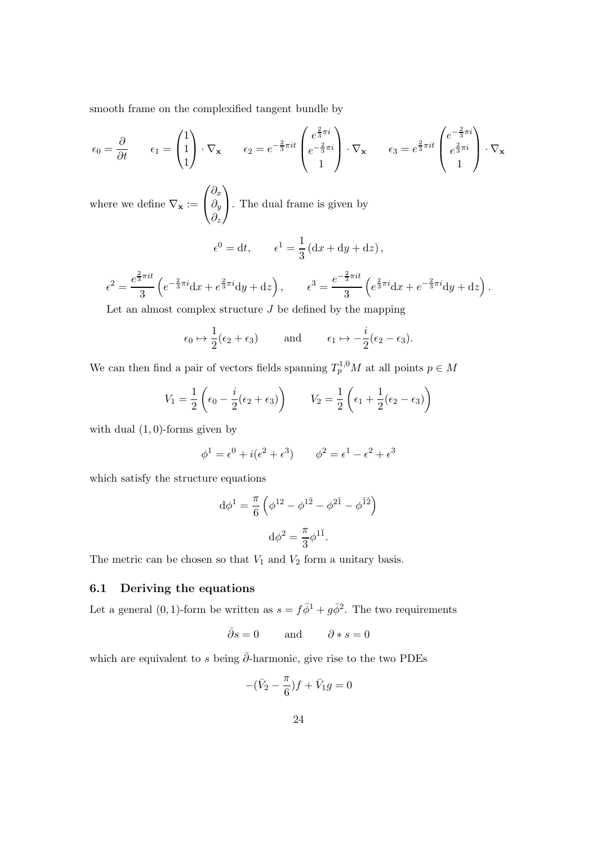smooth frame on the complexified tangent bundle by

$$
\epsilon_0 = \frac{\partial}{\partial t} \qquad \epsilon_1 = \begin{pmatrix} 1 \\ 1 \\ 1 \end{pmatrix} \cdot \nabla_{\mathbf{x}} \qquad \epsilon_2 = e^{-\frac{2}{3}\pi i t} \begin{pmatrix} e^{\frac{2}{3}\pi i} \\ e^{-\frac{2}{3}\pi i} \\ 1 \end{pmatrix} \cdot \nabla_{\mathbf{x}} \qquad \epsilon_3 = e^{\frac{2}{3}\pi i t} \begin{pmatrix} e^{-\frac{2}{3}\pi i} \\ e^{\frac{2}{3}\pi i} \\ 1 \end{pmatrix} \cdot \nabla_{\mathbf{x}}
$$

where we define  $\nabla_{\mathbf{x}} :=$  $\sqrt{ }$  $\mathcal{L}$  $\partial_x$  $\partial_y$  $\partial_z$  $\setminus$ . The dual frame is given by

$$
\epsilon^0 = dt, \qquad \epsilon^1 = \frac{1}{3} \left( dx + dy + dz \right),
$$

$$
\epsilon^2 = \frac{e^{\frac{2}{3}\pi i t}}{3} \left( e^{-\frac{2}{3}\pi i} dx + e^{\frac{2}{3}\pi i} dy + dz \right), \qquad \epsilon^3 = \frac{e^{-\frac{2}{3}\pi i t}}{3} \left( e^{\frac{2}{3}\pi i} dx + e^{-\frac{2}{3}\pi i} dy + dz \right)
$$

.

Let an almost complex structure  $J$  be defined by the mapping

$$
\epsilon_0 \mapsto \frac{1}{2}(\epsilon_2 + \epsilon_3)
$$
 and  $\epsilon_1 \mapsto -\frac{i}{2}(\epsilon_2 - \epsilon_3).$ 

We can then find a pair of vectors fields spanning  $T_p^{1,0}M$  at all points  $p \in M$ 

$$
V_1 = \frac{1}{2} \left( \epsilon_0 - \frac{i}{2} (\epsilon_2 + \epsilon_3) \right) \qquad V_2 = \frac{1}{2} \left( \epsilon_1 + \frac{1}{2} (\epsilon_2 - \epsilon_3) \right)
$$

with dual  $(1, 0)$ -forms given by

$$
\phi^1 = \epsilon^0 + i(\epsilon^2 + \epsilon^3) \qquad \phi^2 = \epsilon^1 - \epsilon^2 + \epsilon^3
$$

which satisfy the structure equations

$$
d\phi^{1} = \frac{\pi}{6} \left( \phi^{12} - \phi^{1\bar{2}} - \phi^{2\bar{1}} - \phi^{\bar{1}\bar{2}} \right)
$$

$$
d\phi^{2} = \frac{\pi}{3} \phi^{1\bar{1}}.
$$

The metric can be chosen so that  $V_1$  and  $V_2$  form a unitary basis.

### <span id="page-23-0"></span>6.1 Deriving the equations

Let a general (0, 1)-form be written as  $s = f\overline{\phi}^1 + g\overline{\phi}^2$ . The two requirements

$$
\bar{\partial}s = 0
$$
 and  $\partial * s = 0$ 

which are equivalent to s being  $\bar{\partial}$ -harmonic, give rise to the two PDEs

$$
-(\bar{V}_2 - \frac{\pi}{6})f + \bar{V}_1g = 0
$$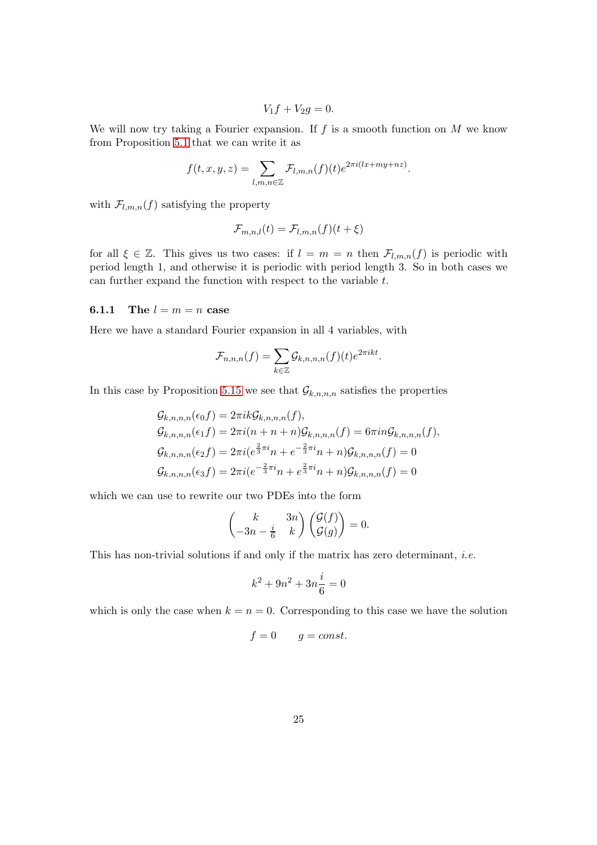$$
V_1f + V_2g = 0.
$$

We will now try taking a Fourier expansion. If  $f$  is a smooth function on  $M$  we know from Proposition [5.1](#page-14-3) that we can write it as

$$
f(t, x, y, z) = \sum_{l, m, n \in \mathbb{Z}} \mathcal{F}_{l, m, n}(f)(t) e^{2\pi i (lx + my + nz)}.
$$

with  $\mathcal{F}_{l,m,n}(f)$  satisfying the property

$$
\mathcal{F}_{m,n,l}(t) = \mathcal{F}_{l,m,n}(f)(t+\xi)
$$

for all  $\xi \in \mathbb{Z}$ . This gives us two cases: if  $l = m = n$  then  $\mathcal{F}_{l,m,n}(f)$  is periodic with period length 1, and otherwise it is periodic with period length 3. So in both cases we can further expand the function with respect to the variable t.

#### <span id="page-24-0"></span>**6.1.1** The  $l = m = n$  case

Here we have a standard Fourier expansion in all 4 variables, with

$$
\mathcal{F}_{n,n,n}(f) = \sum_{k \in \mathbb{Z}} \mathcal{G}_{k,n,n,n}(f)(t) e^{2\pi i kt}.
$$

In this case by Proposition [5.15](#page-21-0) we see that  $\mathcal{G}_{k,n,n,n}$  satisfies the properties

$$
G_{k,n,n,n}(\epsilon_0 f) = 2\pi i k G_{k,n,n,n}(f),
$$
  
\n
$$
G_{k,n,n,n}(\epsilon_1 f) = 2\pi i (n + n + n) G_{k,n,n,n}(f) = 6\pi i n G_{k,n,n,n}(f),
$$
  
\n
$$
G_{k,n,n,n}(\epsilon_2 f) = 2\pi i (e^{\frac{2}{3}\pi i}n + e^{-\frac{2}{3}\pi i}n + n) G_{k,n,n,n}(f) = 0
$$
  
\n
$$
G_{k,n,n,n}(\epsilon_3 f) = 2\pi i (e^{-\frac{2}{3}\pi i}n + e^{\frac{2}{3}\pi i}n + n) G_{k,n,n,n}(f) = 0
$$

which we can use to rewrite our two PDEs into the form

$$
\begin{pmatrix} k & 3n \\ -3n - \frac{i}{6} & k \end{pmatrix} \begin{pmatrix} \mathcal{G}(f) \\ \mathcal{G}(g) \end{pmatrix} = 0.
$$

This has non-trivial solutions if and only if the matrix has zero determinant, i.e.

$$
k^2 + 9n^2 + 3n\frac{i}{6} = 0
$$

which is only the case when  $k = n = 0$ . Corresponding to this case we have the solution

$$
f = 0 \qquad g = const.
$$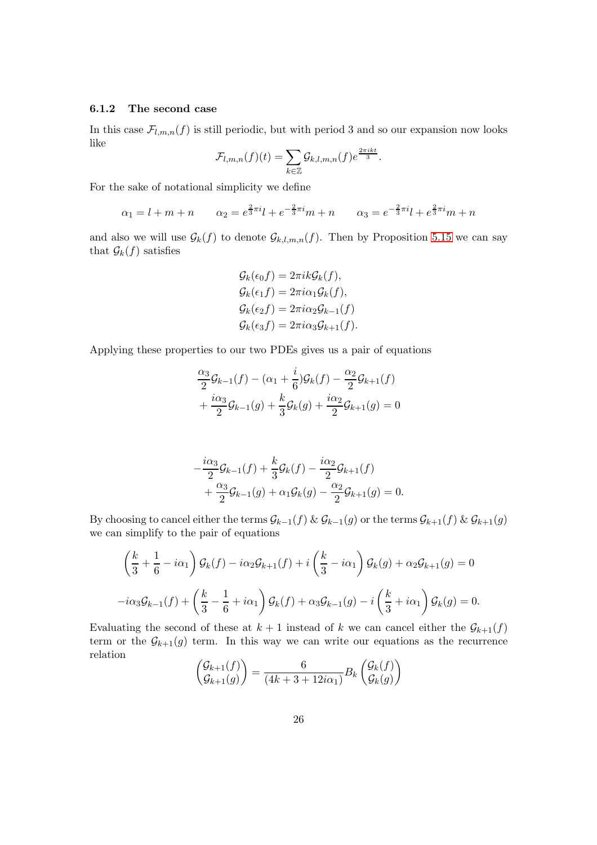### <span id="page-25-0"></span>6.1.2 The second case

In this case  $\mathcal{F}_{l,m,n}(f)$  is still periodic, but with period 3 and so our expansion now looks like

$$
\mathcal{F}_{l,m,n}(f)(t) = \sum_{k \in \mathbb{Z}} \mathcal{G}_{k,l,m,n}(f)e^{\frac{2\pi i kt}{3}}.
$$

For the sake of notational simplicity we define

$$
\alpha_1 = l + m + n \qquad \alpha_2 = e^{\frac{2}{3}\pi i}l + e^{-\frac{2}{3}\pi i}m + n \qquad \alpha_3 = e^{-\frac{2}{3}\pi i}l + e^{\frac{2}{3}\pi i}m + n
$$

and also we will use  $\mathcal{G}_k(f)$  to denote  $\mathcal{G}_{k,l,m,n}(f)$ . Then by Proposition [5.15](#page-21-0) we can say that  $\mathcal{G}_k(f)$  satisfies

$$
\mathcal{G}_k(\epsilon_0 f) = 2\pi i k \mathcal{G}_k(f),
$$
  
\n
$$
\mathcal{G}_k(\epsilon_1 f) = 2\pi i \alpha_1 \mathcal{G}_k(f),
$$
  
\n
$$
\mathcal{G}_k(\epsilon_2 f) = 2\pi i \alpha_2 \mathcal{G}_{k-1}(f)
$$
  
\n
$$
\mathcal{G}_k(\epsilon_3 f) = 2\pi i \alpha_3 \mathcal{G}_{k+1}(f).
$$

Applying these properties to our two PDEs gives us a pair of equations

$$
\frac{\alpha_3}{2}\mathcal{G}_{k-1}(f) - (\alpha_1 + \frac{i}{6})\mathcal{G}_k(f) - \frac{\alpha_2}{2}\mathcal{G}_{k+1}(f) + \frac{i\alpha_3}{2}\mathcal{G}_{k-1}(g) + \frac{k}{3}\mathcal{G}_k(g) + \frac{i\alpha_2}{2}\mathcal{G}_{k+1}(g) = 0
$$

$$
-\frac{i\alpha_3}{2}\mathcal{G}_{k-1}(f) + \frac{k}{3}\mathcal{G}_k(f) - \frac{i\alpha_2}{2}\mathcal{G}_{k+1}(f) + \frac{\alpha_3}{2}\mathcal{G}_{k-1}(g) + \alpha_1 \mathcal{G}_k(g) - \frac{\alpha_2}{2}\mathcal{G}_{k+1}(g) = 0.
$$

By choosing to cancel either the terms  $\mathcal{G}_{k-1}(f) \& \mathcal{G}_{k-1}(g)$  or the terms  $\mathcal{G}_{k+1}(f) \& \mathcal{G}_{k+1}(g)$ we can simplify to the pair of equations

$$
\left(\frac{k}{3} + \frac{1}{6} - i\alpha_1\right)\mathcal{G}_k(f) - i\alpha_2\mathcal{G}_{k+1}(f) + i\left(\frac{k}{3} - i\alpha_1\right)\mathcal{G}_k(g) + \alpha_2\mathcal{G}_{k+1}(g) = 0
$$
  

$$
-i\alpha_3\mathcal{G}_{k-1}(f) + \left(\frac{k}{3} - \frac{1}{6} + i\alpha_1\right)\mathcal{G}_k(f) + \alpha_3\mathcal{G}_{k-1}(g) - i\left(\frac{k}{3} + i\alpha_1\right)\mathcal{G}_k(g) = 0.
$$

Evaluating the second of these at  $k + 1$  instead of k we can cancel either the  $\mathcal{G}_{k+1}(f)$ term or the  $\mathcal{G}_{k+1}(g)$  term. In this way we can write our equations as the recurrence relation

$$
\begin{pmatrix} \mathcal{G}_{k+1}(f) \\ \mathcal{G}_{k+1}(g) \end{pmatrix} = \frac{6}{(4k+3+12i\alpha_1)} B_k \begin{pmatrix} \mathcal{G}_k(f) \\ \mathcal{G}_k(g) \end{pmatrix}
$$